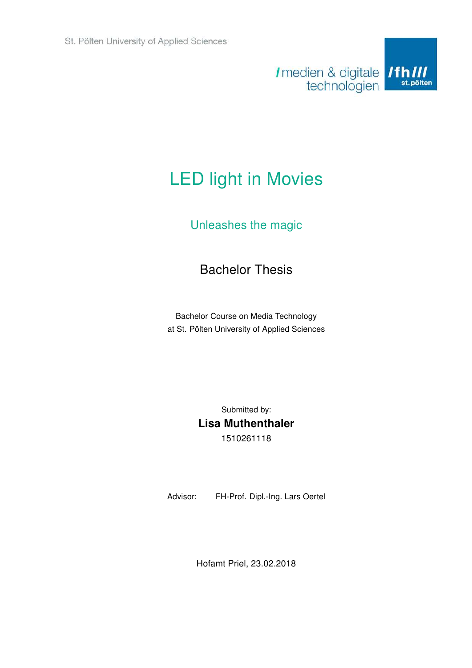

# LED light in Movies

# Unleashes the magic

# Bachelor Thesis

Bachelor Course on Media Technology at St. Pölten University of Applied Sciences

> Submitted by: Lisa Muthenthaler 1510261118

Advisor: FH-Prof. Dipl.-Ing. Lars Oertel

Hofamt Priel, 23.02.2018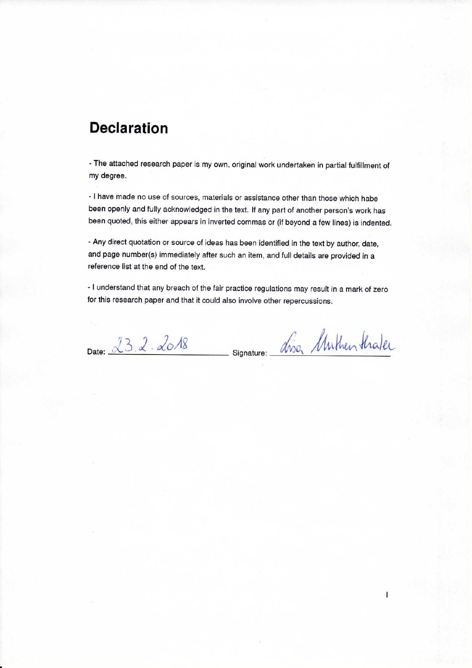# **Declaration**

- The attached research paper is my own, original work undertaken in partial fulfillment of my degree.

- I have made no use of sources, materials or assistance other than those which habe been openly and fully acknowledged in the text. If any part of another person's work has been quoted, this either appears in inverted commas or (if beyond a few lines) is indented.

- Any direct quotation or source of ideas has been identified in the text by author, date, and page number(s) immediately after such an item, and full details are provided in a reference list at the end of the text.

- I understand that any breach of the fair practice regulations may result in a mark of zero for this research paper and that it could also involve other repercussions.

Date: 23.2.2018

signature: asso Unthen thaler

 $\overline{1}$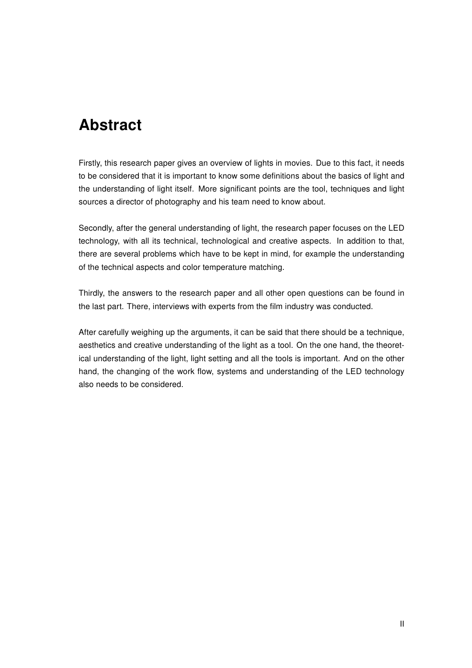# Abstract

Firstly, this research paper gives an overview of lights in movies. Due to this fact, it needs to be considered that it is important to know some definitions about the basics of light and the understanding of light itself. More significant points are the tool, techniques and light sources a director of photography and his team need to know about.

Secondly, after the general understanding of light, the research paper focuses on the LED technology, with all its technical, technological and creative aspects. In addition to that, there are several problems which have to be kept in mind, for example the understanding of the technical aspects and color temperature matching.

Thirdly, the answers to the research paper and all other open questions can be found in the last part. There, interviews with experts from the film industry was conducted.

After carefully weighing up the arguments, it can be said that there should be a technique, aesthetics and creative understanding of the light as a tool. On the one hand, the theoretical understanding of the light, light setting and all the tools is important. And on the other hand, the changing of the work flow, systems and understanding of the LED technology also needs to be considered.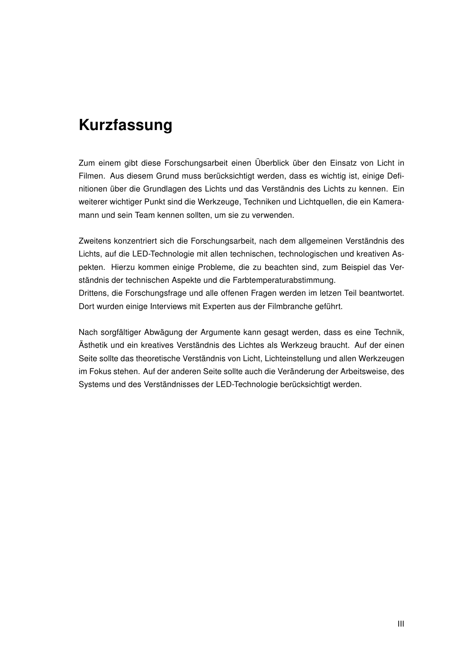# Kurzfassung

Zum einem gibt diese Forschungsarbeit einen Überblick über den Einsatz von Licht in Filmen. Aus diesem Grund muss berücksichtigt werden, dass es wichtig ist, einige Definitionen über die Grundlagen des Lichts und das Verständnis des Lichts zu kennen. Ein weiterer wichtiger Punkt sind die Werkzeuge, Techniken und Lichtquellen, die ein Kameramann und sein Team kennen sollten, um sie zu verwenden.

Zweitens konzentriert sich die Forschungsarbeit, nach dem allgemeinen Verständnis des Lichts, auf die LED-Technologie mit allen technischen, technologischen und kreativen Aspekten. Hierzu kommen einige Probleme, die zu beachten sind, zum Beispiel das Verständnis der technischen Aspekte und die Farbtemperaturabstimmung. Drittens, die Forschungsfrage und alle offenen Fragen werden im letzen Teil beantwortet. Dort wurden einige Interviews mit Experten aus der Filmbranche geführt.

Nach sorgfältiger Abwägung der Argumente kann gesagt werden, dass es eine Technik, Ästhetik und ein kreatives Verständnis des Lichtes als Werkzeug braucht. Auf der einen Seite sollte das theoretische Verständnis von Licht, Lichteinstellung und allen Werkzeugen im Fokus stehen. Auf der anderen Seite sollte auch die Veränderung der Arbeitsweise, des Systems und des Verständnisses der LED-Technologie berücksichtigt werden.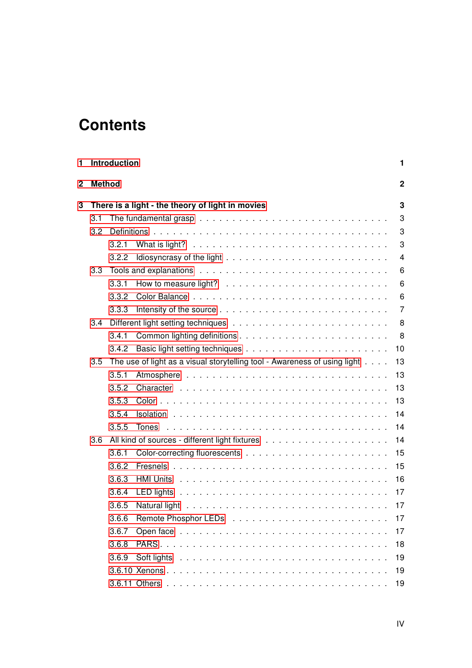# **Contents**

| 1            |                                                                                  | Introduction                                     |                                                                                                                                                                                                                                | 1  |  |  |
|--------------|----------------------------------------------------------------------------------|--------------------------------------------------|--------------------------------------------------------------------------------------------------------------------------------------------------------------------------------------------------------------------------------|----|--|--|
| $\mathbf{2}$ |                                                                                  | <b>Method</b>                                    |                                                                                                                                                                                                                                |    |  |  |
| 3            |                                                                                  | There is a light - the theory of light in movies |                                                                                                                                                                                                                                |    |  |  |
|              | 3.1                                                                              |                                                  |                                                                                                                                                                                                                                | 3  |  |  |
|              | 3.2                                                                              |                                                  |                                                                                                                                                                                                                                | 3  |  |  |
|              |                                                                                  | 3.2.1                                            |                                                                                                                                                                                                                                | 3  |  |  |
|              |                                                                                  | 3.2.2                                            |                                                                                                                                                                                                                                | 4  |  |  |
|              | 3.3                                                                              |                                                  |                                                                                                                                                                                                                                | 6  |  |  |
|              |                                                                                  | 3.3.1                                            |                                                                                                                                                                                                                                | 6  |  |  |
|              |                                                                                  | 3.3.2                                            |                                                                                                                                                                                                                                | 6  |  |  |
|              |                                                                                  | 3.3.3                                            |                                                                                                                                                                                                                                | 7  |  |  |
|              | 3.4                                                                              |                                                  |                                                                                                                                                                                                                                | 8  |  |  |
|              |                                                                                  | 3.4.1                                            |                                                                                                                                                                                                                                | 8  |  |  |
|              |                                                                                  | 3.4.2                                            |                                                                                                                                                                                                                                | 10 |  |  |
|              | The use of light as a visual storytelling tool - Awareness of using light<br>3.5 |                                                  |                                                                                                                                                                                                                                | 13 |  |  |
|              |                                                                                  | 3.5.1                                            |                                                                                                                                                                                                                                | 13 |  |  |
|              |                                                                                  | 3.5.2                                            |                                                                                                                                                                                                                                | 13 |  |  |
|              |                                                                                  | 3.5.3                                            |                                                                                                                                                                                                                                | 13 |  |  |
|              |                                                                                  | 3.5.4                                            |                                                                                                                                                                                                                                | 14 |  |  |
|              |                                                                                  | 3.5.5                                            | Tones                                                                                                                                                                                                                          | 14 |  |  |
|              | 3.6                                                                              |                                                  |                                                                                                                                                                                                                                | 14 |  |  |
|              |                                                                                  | 3.6.1                                            |                                                                                                                                                                                                                                | 15 |  |  |
|              |                                                                                  | 3.6.2                                            |                                                                                                                                                                                                                                | 15 |  |  |
|              |                                                                                  | 3.6.3                                            |                                                                                                                                                                                                                                | 16 |  |  |
|              |                                                                                  | 3.6.4                                            |                                                                                                                                                                                                                                | 17 |  |  |
|              |                                                                                  | 3.6.5                                            | Natural light (and a series are a series of the series of the series of the series of the series of the series                                                                                                                 | 17 |  |  |
|              |                                                                                  | 3.6.6                                            |                                                                                                                                                                                                                                | 17 |  |  |
|              |                                                                                  | 3.6.7                                            | Open face in the contract of the contract of the contract of the contract of the contract of the contract of the contract of the contract of the contract of the contract of the contract of the contract of the contract of t | 17 |  |  |
|              |                                                                                  | 3.6.8                                            |                                                                                                                                                                                                                                | 18 |  |  |
|              |                                                                                  | 3.6.9                                            | Soft lights in the contract of the set of the contract of the set of the set of the set of the set of the set of the set of the set of the set of the set of the set of the set of the set of the set of the set of the set of | 19 |  |  |
|              |                                                                                  |                                                  |                                                                                                                                                                                                                                | 19 |  |  |
|              |                                                                                  |                                                  |                                                                                                                                                                                                                                | 19 |  |  |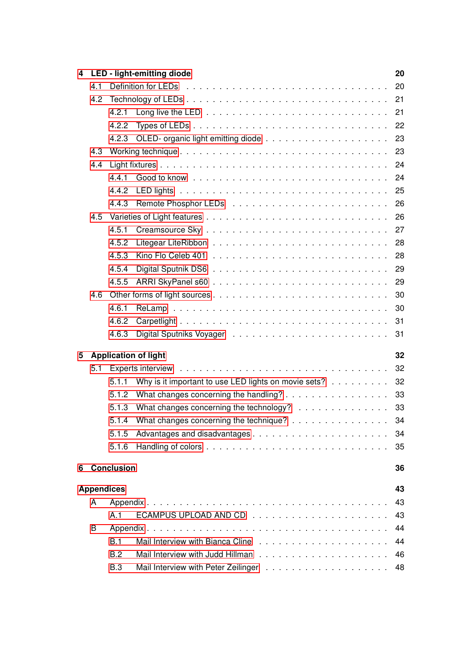| 4 |                   |                   | LED - light-emitting diode                                                                                         | 20 |  |  |
|---|-------------------|-------------------|--------------------------------------------------------------------------------------------------------------------|----|--|--|
|   | 4.1               |                   |                                                                                                                    | 20 |  |  |
|   | 4.2               |                   |                                                                                                                    | 21 |  |  |
|   |                   | 4.2.1             | Long live the LED $\ldots$ , $\ldots$ , $\ldots$ , $\ldots$ , $\ldots$ , $\ldots$ , $\ldots$ , $\ldots$ , $\ldots$ | 21 |  |  |
|   |                   | 4.2.2             |                                                                                                                    | 22 |  |  |
|   |                   |                   |                                                                                                                    | 23 |  |  |
|   | 4.3               |                   |                                                                                                                    | 23 |  |  |
|   | 4.4               |                   |                                                                                                                    | 24 |  |  |
|   |                   | 4.4.1             |                                                                                                                    | 24 |  |  |
|   |                   | 4.4.2             | LED lights (and a series are a series and a series are a series and a series of the series of the series of the    | 25 |  |  |
|   |                   | 4.4.3             |                                                                                                                    | 26 |  |  |
|   | 4.5               |                   |                                                                                                                    |    |  |  |
|   |                   | 4.5.1             |                                                                                                                    |    |  |  |
|   |                   | 4.5.2             |                                                                                                                    | 28 |  |  |
|   |                   | 4.5.3             |                                                                                                                    |    |  |  |
|   |                   | 4.5.4             |                                                                                                                    |    |  |  |
|   |                   | 4.5.5             |                                                                                                                    | 29 |  |  |
|   | 4.6               |                   |                                                                                                                    | 30 |  |  |
|   |                   | 4.6.1             |                                                                                                                    | 30 |  |  |
|   |                   | 4.6.2             |                                                                                                                    | 31 |  |  |
|   |                   | 4.6.3             |                                                                                                                    | 31 |  |  |
| 5 |                   |                   | <b>Application of light</b>                                                                                        | 32 |  |  |
|   | 5.1               |                   | Experts interview edge received and service contracts and contracts are entered in the service of the service o    | 32 |  |  |
|   |                   | 5.1.1             | Why is it important to use LED lights on movie sets?                                                               | 32 |  |  |
|   |                   | 5.1.2             | What changes concerning the handling?                                                                              | 33 |  |  |
|   |                   | 5.1.3             | What changes concerning the technology? 33                                                                         |    |  |  |
|   |                   | 5.1.4             | What changes concerning the technique?                                                                             | 34 |  |  |
|   |                   | 5.1.5             |                                                                                                                    | 34 |  |  |
|   |                   | 5.1.6             |                                                                                                                    | 35 |  |  |
|   |                   |                   |                                                                                                                    |    |  |  |
| 6 |                   | <b>Conclusion</b> |                                                                                                                    | 36 |  |  |
|   | <b>Appendices</b> |                   |                                                                                                                    | 43 |  |  |
|   | A                 |                   |                                                                                                                    | 43 |  |  |
|   |                   | A.1               |                                                                                                                    | 43 |  |  |
|   | B                 |                   |                                                                                                                    | 44 |  |  |
|   |                   | B.1               |                                                                                                                    | 44 |  |  |
|   |                   | B.2               |                                                                                                                    | 46 |  |  |
|   |                   | <b>B.3</b>        |                                                                                                                    | 48 |  |  |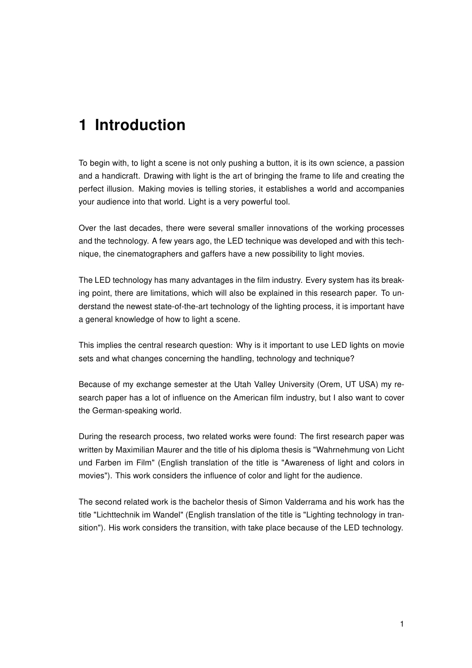# <span id="page-6-0"></span>1 Introduction

To begin with, to light a scene is not only pushing a button, it is its own science, a passion and a handicraft. Drawing with light is the art of bringing the frame to life and creating the perfect illusion. Making movies is telling stories, it establishes a world and accompanies your audience into that world. Light is a very powerful tool.

Over the last decades, there were several smaller innovations of the working processes and the technology. A few years ago, the LED technique was developed and with this technique, the cinematographers and gaffers have a new possibility to light movies.

The LED technology has many advantages in the film industry. Every system has its breaking point, there are limitations, which will also be explained in this research paper. To understand the newest state-of-the-art technology of the lighting process, it is important have a general knowledge of how to light a scene.

This implies the central research question: Why is it important to use LED lights on movie sets and what changes concerning the handling, technology and technique?

Because of my exchange semester at the Utah Valley University (Orem, UT USA) my research paper has a lot of influence on the American film industry, but I also want to cover the German-speaking world.

During the research process, two related works were found: The first research paper was written by Maximilian Maurer and the title of his diploma thesis is "Wahrnehmung von Licht und Farben im Film" (English translation of the title is "Awareness of light and colors in movies"). This work considers the influence of color and light for the audience.

The second related work is the bachelor thesis of Simon Valderrama and his work has the title "Lichttechnik im Wandel" (English translation of the title is "Lighting technology in transition"). His work considers the transition, with take place because of the LED technology.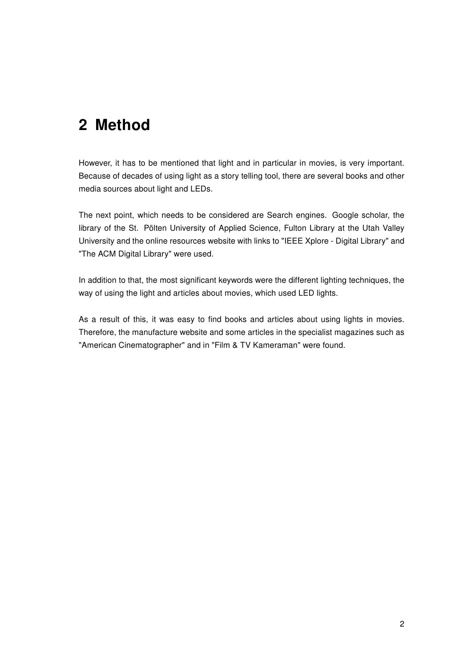# <span id="page-7-0"></span>2 Method

However, it has to be mentioned that light and in particular in movies, is very important. Because of decades of using light as a story telling tool, there are several books and other media sources about light and LEDs.

The next point, which needs to be considered are Search engines. Google scholar, the library of the St. Pölten University of Applied Science, Fulton Library at the Utah Valley University and the online resources website with links to "IEEE Xplore - Digital Library" and "The ACM Digital Library" were used.

In addition to that, the most significant keywords were the different lighting techniques, the way of using the light and articles about movies, which used LED lights.

As a result of this, it was easy to find books and articles about using lights in movies. Therefore, the manufacture website and some articles in the specialist magazines such as "American Cinematographer" and in "Film & TV Kameraman" were found.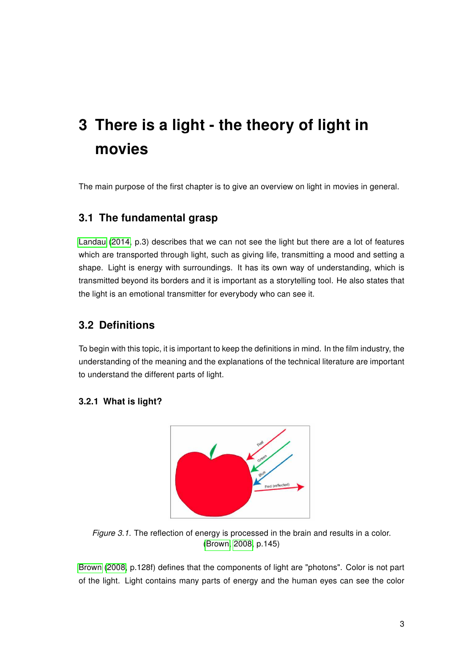# <span id="page-8-0"></span>3 There is a light - the theory of light in movies

The main purpose of the first chapter is to give an overview on light in movies in general.

# <span id="page-8-1"></span>3.1 The fundamental grasp

[Landau \(2014,](#page-43-0) p.3) describes that we can not see the light but there are a lot of features which are transported through light, such as giving life, transmitting a mood and setting a shape. Light is energy with surroundings. It has its own way of understanding, which is transmitted beyond its borders and it is important as a storytelling tool. He also states that the light is an emotional transmitter for everybody who can see it.

# <span id="page-8-2"></span>3.2 Definitions

To begin with this topic, it is important to keep the definitions in mind. In the film industry, the understanding of the meaning and the explanations of the technical literature are important to understand the different parts of light.

#### <span id="page-8-4"></span><span id="page-8-3"></span>3.2.1 What is light?



Figure 3.1. The reflection of energy is processed in the brain and results in a color. [\(Brown, 2008,](#page-42-0) p.145)

[Brown \(2008,](#page-42-0) p.128f) defines that the components of light are "photons". Color is not part of the light. Light contains many parts of energy and the human eyes can see the color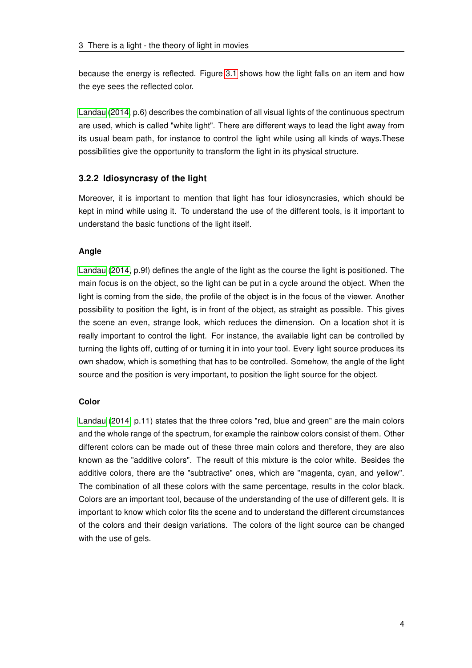because the energy is reflected. Figure [3.1](#page-8-4) shows how the light falls on an item and how the eye sees the reflected color.

[Landau \(2014,](#page-43-0) p.6) describes the combination of all visual lights of the continuous spectrum are used, which is called "white light". There are different ways to lead the light away from its usual beam path, for instance to control the light while using all kinds of ways.These possibilities give the opportunity to transform the light in its physical structure.

### <span id="page-9-0"></span>3.2.2 Idiosyncrasy of the light

Moreover, it is important to mention that light has four idiosyncrasies, which should be kept in mind while using it. To understand the use of the different tools, is it important to understand the basic functions of the light itself.

#### Angle

[Landau \(2014,](#page-43-0) p.9f) defines the angle of the light as the course the light is positioned. The main focus is on the object, so the light can be put in a cycle around the object. When the light is coming from the side, the profile of the object is in the focus of the viewer. Another possibility to position the light, is in front of the object, as straight as possible. This gives the scene an even, strange look, which reduces the dimension. On a location shot it is really important to control the light. For instance, the available light can be controlled by turning the lights off, cutting of or turning it in into your tool. Every light source produces its own shadow, which is something that has to be controlled. Somehow, the angle of the light source and the position is very important, to position the light source for the object.

#### Color

[Landau \(2014,](#page-43-0) p.11) states that the three colors "red, blue and green" are the main colors and the whole range of the spectrum, for example the rainbow colors consist of them. Other different colors can be made out of these three main colors and therefore, they are also known as the "additive colors". The result of this mixture is the color white. Besides the additive colors, there are the "subtractive" ones, which are "magenta, cyan, and yellow". The combination of all these colors with the same percentage, results in the color black. Colors are an important tool, because of the understanding of the use of different gels. It is important to know which color fits the scene and to understand the different circumstances of the colors and their design variations. The colors of the light source can be changed with the use of gels.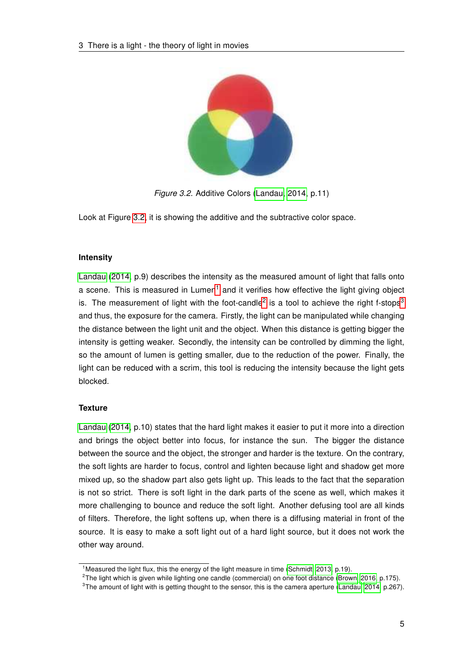<span id="page-10-0"></span>

Figure 3.2. Additive Colors [\(Landau, 2014,](#page-43-0) p.11)

Look at Figure [3.2,](#page-10-0) it is showing the additive and the subtractive color space.

#### Intensity

[Landau \(2014,](#page-43-0) p.9) describes the intensity as the measured amount of light that falls onto a scene. This is measured in Lumen<sup>[1](#page-10-1)</sup> and it verifies how effective the light giving object is. The measurement of light with the foot-candle<sup>[2](#page-10-2)</sup> is a tool to achieve the right f-stops<sup>[3](#page-10-3)</sup> and thus, the exposure for the camera. Firstly, the light can be manipulated while changing the distance between the light unit and the object. When this distance is getting bigger the intensity is getting weaker. Secondly, the intensity can be controlled by dimming the light, so the amount of lumen is getting smaller, due to the reduction of the power. Finally, the light can be reduced with a scrim, this tool is reducing the intensity because the light gets blocked.

#### **Texture**

[Landau \(2014,](#page-43-0) p.10) states that the hard light makes it easier to put it more into a direction and brings the object better into focus, for instance the sun. The bigger the distance between the source and the object, the stronger and harder is the texture. On the contrary, the soft lights are harder to focus, control and lighten because light and shadow get more mixed up, so the shadow part also gets light up. This leads to the fact that the separation is not so strict. There is soft light in the dark parts of the scene as well, which makes it more challenging to bounce and reduce the soft light. Another defusing tool are all kinds of filters. Therefore, the light softens up, when there is a diffusing material in front of the source. It is easy to make a soft light out of a hard light source, but it does not work the other way around.

<span id="page-10-1"></span><sup>&</sup>lt;sup>1</sup> Measured the light flux, this the energy of the light measure in time [\(Schmidt, 2013,](#page-44-0) p.19).

<span id="page-10-2"></span><sup>&</sup>lt;sup>2</sup>The light which is given while lighting one candle (commercial) on one foot distance [\(Brown, 2016,](#page-42-1) p.175).

<span id="page-10-3"></span><sup>&</sup>lt;sup>3</sup>The amount of light with is getting thought to the sensor, this is the camera aperture [\(Landau, 2014,](#page-43-0) p.267).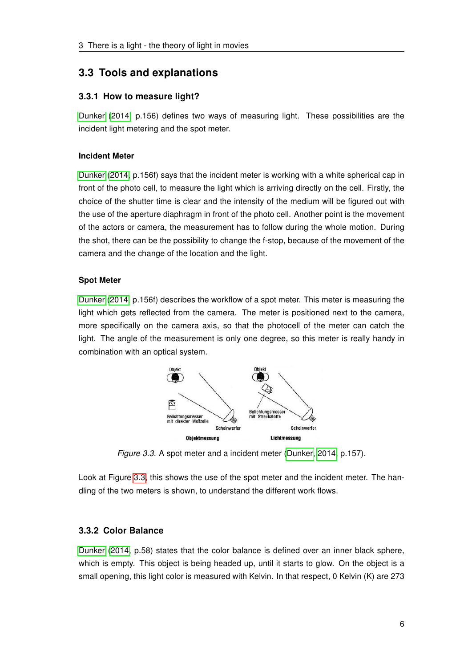# <span id="page-11-0"></span>3.3 Tools and explanations

### <span id="page-11-1"></span>3.3.1 How to measure light?

[Dunker \(2014,](#page-43-1) p.156) defines two ways of measuring light. These possibilities are the incident light metering and the spot meter.

#### Incident Meter

[Dunker \(2014,](#page-43-1) p.156f) says that the incident meter is working with a white spherical cap in front of the photo cell, to measure the light which is arriving directly on the cell. Firstly, the choice of the shutter time is clear and the intensity of the medium will be figured out with the use of the aperture diaphragm in front of the photo cell. Another point is the movement of the actors or camera, the measurement has to follow during the whole motion. During the shot, there can be the possibility to change the f-stop, because of the movement of the camera and the change of the location and the light.

#### Spot Meter

<span id="page-11-3"></span>[Dunker](#page-43-1) [\(2014,](#page-43-1) p.156f) describes the workflow of a spot meter. This meter is measuring the light which gets reflected from the camera. The meter is positioned next to the camera, more specifically on the camera axis, so that the photocell of the meter can catch the light. The angle of the measurement is only one degree, so this meter is really handy in combination with an optical system.



Figure 3.3. A spot meter and a incident meter [\(Dunker, 2014,](#page-43-1) p.157).

Look at Figure [3.3,](#page-11-3) this shows the use of the spot meter and the incident meter. The handling of the two meters is shown, to understand the different work flows.

# <span id="page-11-2"></span>3.3.2 Color Balance

[Dunker \(2014,](#page-43-1) p.58) states that the color balance is defined over an inner black sphere, which is empty. This object is being headed up, until it starts to glow. On the object is a small opening, this light color is measured with Kelvin. In that respect, 0 Kelvin (K) are 273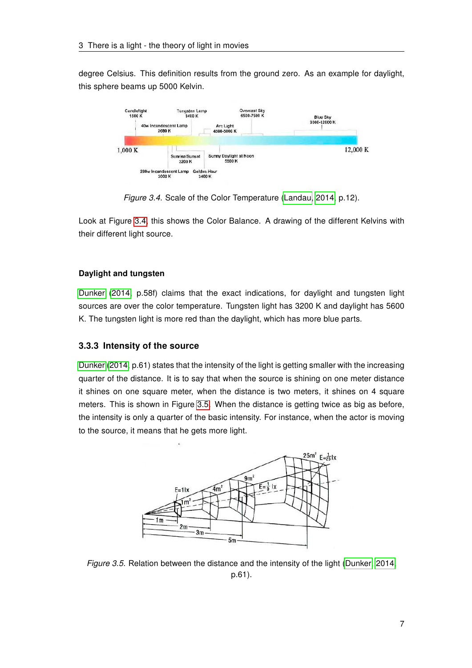degree Celsius. This definition results from the ground zero. As an example for daylight, this sphere beams up 5000 Kelvin.

<span id="page-12-1"></span>

Figure 3.4. Scale of the Color Temperature [\(Landau, 2014,](#page-43-0) p.12).

Look at Figure [3.4,](#page-12-1) this shows the Color Balance. A drawing of the different Kelvins with their different light source.

#### Daylight and tungsten

[Dunker \(2014,](#page-43-1) p.58f) claims that the exact indications, for daylight and tungsten light sources are over the color temperature. Tungsten light has 3200 K and daylight has 5600 K. The tungsten light is more red than the daylight, which has more blue parts.

# <span id="page-12-0"></span>3.3.3 Intensity of the source

[Dunker \(2014,](#page-43-1) p.61) states that the intensity of the light is getting smaller with the increasing quarter of the distance. It is to say that when the source is shining on one meter distance it shines on one square meter, when the distance is two meters, it shines on 4 square meters. This is shown in Figure [3.5.](#page-12-2) When the distance is getting twice as big as before, the intensity is only a quarter of the basic intensity. For instance, when the actor is moving to the source, it means that he gets more light.

<span id="page-12-2"></span>

Figure 3.5. Relation between the distance and the intensity of the light [\(Dunker, 2014,](#page-43-1) p.61).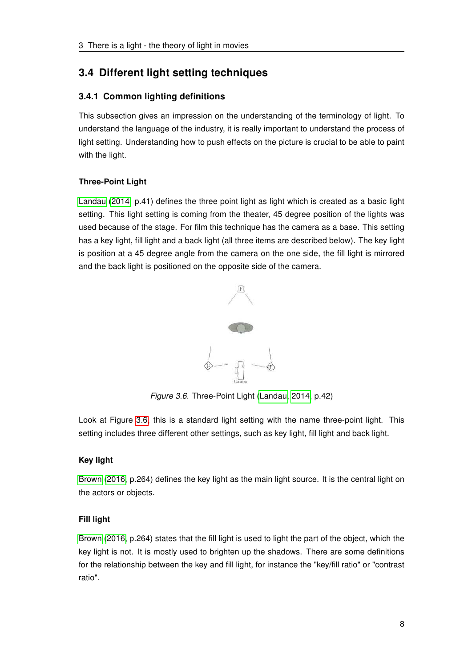# <span id="page-13-0"></span>3.4 Different light setting techniques

# <span id="page-13-1"></span>3.4.1 Common lighting definitions

This subsection gives an impression on the understanding of the terminology of light. To understand the language of the industry, it is really important to understand the process of light setting. Understanding how to push effects on the picture is crucial to be able to paint with the light.

# Three-Point Light

[Landau](#page-43-0) [\(2014,](#page-43-0) p.41) defines the three point light as light which is created as a basic light setting. This light setting is coming from the theater, 45 degree position of the lights was used because of the stage. For film this technique has the camera as a base. This setting has a key light, fill light and a back light (all three items are described below). The key light is position at a 45 degree angle from the camera on the one side, the fill light is mirrored and the back light is positioned on the opposite side of the camera.

<span id="page-13-2"></span>

Figure 3.6. Three-Point Light [\(Landau, 2014,](#page-43-0) p.42)

Look at Figure [3.6,](#page-13-2) this is a standard light setting with the name three-point light. This setting includes three different other settings, such as key light, fill light and back light.

# Key light

[Brown \(2016,](#page-42-1) p.264) defines the key light as the main light source. It is the central light on the actors or objects.

# Fill light

[Brown \(2016,](#page-42-1) p.264) states that the fill light is used to light the part of the object, which the key light is not. It is mostly used to brighten up the shadows. There are some definitions for the relationship between the key and fill light, for instance the "key/fill ratio" or "contrast ratio".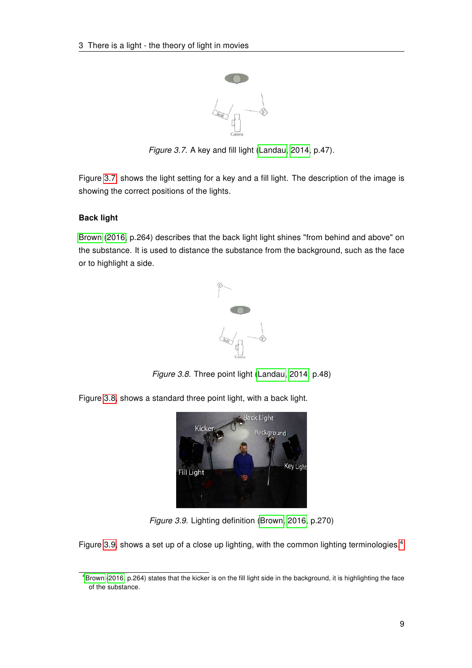<span id="page-14-0"></span>

Figure 3.7. A key and fill light [\(Landau, 2014,](#page-43-0) p.47).

Figure [3.7,](#page-14-0) shows the light setting for a key and a fill light. The description of the image is showing the correct positions of the lights.

### Back light

<span id="page-14-1"></span>[Brown \(2016,](#page-42-1) p.264) describes that the back light light shines "from behind and above" on the substance. It is used to distance the substance from the background, such as the face or to highlight a side.



Figure 3.8. Three point light [\(Landau, 2014,](#page-43-0) p.48)

<span id="page-14-2"></span>Figure [3.8,](#page-14-1) shows a standard three point light, with a back light.



Figure 3.9. Lighting definition [\(Brown, 2016,](#page-42-1) p.270)

Figure [3.9,](#page-14-2) shows a set up of a close up lighting, with the common lighting terminologies.<sup>[4](#page-14-3)</sup>

<span id="page-14-3"></span><sup>4</sup>[Brown \(2016,](#page-42-1) p.264) states that the kicker is on the fill light side in the background, it is highlighting the face of the substance.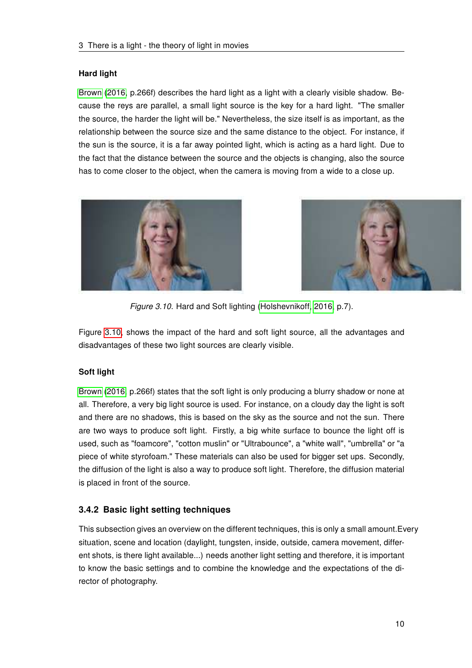#### Hard light

[Brown \(2016,](#page-42-1) p.266f) describes the hard light as a light with a clearly visible shadow. Because the reys are parallel, a small light source is the key for a hard light. "The smaller the source, the harder the light will be." Nevertheless, the size itself is as important, as the relationship between the source size and the same distance to the object. For instance, if the sun is the source, it is a far away pointed light, which is acting as a hard light. Due to the fact that the distance between the source and the objects is changing, also the source has to come closer to the object, when the camera is moving from a wide to a close up.

<span id="page-15-1"></span>



Figure 3.10. Hard and Soft lighting [\(Holshevnikoff, 2016,](#page-43-2) p.7).

Figure [3.10,](#page-15-1) shows the impact of the hard and soft light source, all the advantages and disadvantages of these two light sources are clearly visible.

#### Soft light

[Brown \(2016,](#page-42-1) p.266f) states that the soft light is only producing a blurry shadow or none at all. Therefore, a very big light source is used. For instance, on a cloudy day the light is soft and there are no shadows, this is based on the sky as the source and not the sun. There are two ways to produce soft light. Firstly, a big white surface to bounce the light off is used, such as "foamcore", "cotton muslin" or "Ultrabounce", a "white wall", "umbrella" or "a piece of white styrofoam." These materials can also be used for bigger set ups. Secondly, the diffusion of the light is also a way to produce soft light. Therefore, the diffusion material is placed in front of the source.

# <span id="page-15-0"></span>3.4.2 Basic light setting techniques

This subsection gives an overview on the different techniques, this is only a small amount.Every situation, scene and location (daylight, tungsten, inside, outside, camera movement, different shots, is there light available...) needs another light setting and therefore, it is important to know the basic settings and to combine the knowledge and the expectations of the director of photography.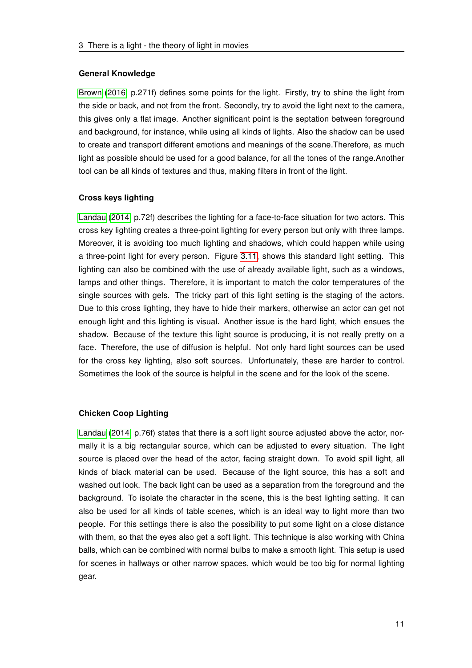#### General Knowledge

[Brown \(2016,](#page-42-1) p.271f) defines some points for the light. Firstly, try to shine the light from the side or back, and not from the front. Secondly, try to avoid the light next to the camera, this gives only a flat image. Another significant point is the septation between foreground and background, for instance, while using all kinds of lights. Also the shadow can be used to create and transport different emotions and meanings of the scene.Therefore, as much light as possible should be used for a good balance, for all the tones of the range.Another tool can be all kinds of textures and thus, making filters in front of the light.

#### Cross keys lighting

[Landau \(2014,](#page-43-0) p.72f) describes the lighting for a face-to-face situation for two actors. This cross key lighting creates a three-point lighting for every person but only with three lamps. Moreover, it is avoiding too much lighting and shadows, which could happen while using a three-point light for every person. Figure [3.11,](#page-17-0) shows this standard light setting. This lighting can also be combined with the use of already available light, such as a windows, lamps and other things. Therefore, it is important to match the color temperatures of the single sources with gels. The tricky part of this light setting is the staging of the actors. Due to this cross lighting, they have to hide their markers, otherwise an actor can get not enough light and this lighting is visual. Another issue is the hard light, which ensues the shadow. Because of the texture this light source is producing, it is not really pretty on a face. Therefore, the use of diffusion is helpful. Not only hard light sources can be used for the cross key lighting, also soft sources. Unfortunately, these are harder to control. Sometimes the look of the source is helpful in the scene and for the look of the scene.

#### Chicken Coop Lighting

[Landau \(2014,](#page-43-0) p.76f) states that there is a soft light source adjusted above the actor, normally it is a big rectangular source, which can be adjusted to every situation. The light source is placed over the head of the actor, facing straight down. To avoid spill light, all kinds of black material can be used. Because of the light source, this has a soft and washed out look. The back light can be used as a separation from the foreground and the background. To isolate the character in the scene, this is the best lighting setting. It can also be used for all kinds of table scenes, which is an ideal way to light more than two people. For this settings there is also the possibility to put some light on a close distance with them, so that the eyes also get a soft light. This technique is also working with China balls, which can be combined with normal bulbs to make a smooth light. This setup is used for scenes in hallways or other narrow spaces, which would be too big for normal lighting gear.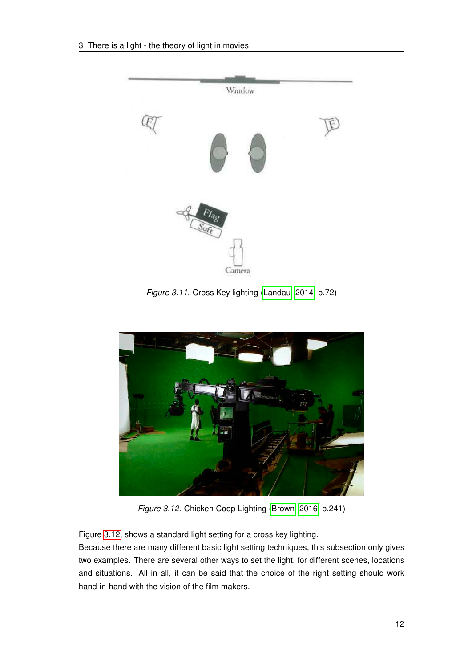<span id="page-17-0"></span>

Figure 3.11. Cross Key lighting [\(Landau, 2014,](#page-43-0) p.72)

<span id="page-17-1"></span>

Figure 3.12. Chicken Coop Lighting [\(Brown, 2016,](#page-42-1) p.241)

Figure [3.12,](#page-17-1) shows a standard light setting for a cross key lighting.

Because there are many different basic light setting techniques, this subsection only gives two examples. There are several other ways to set the light, for different scenes, locations and situations. All in all, it can be said that the choice of the right setting should work hand-in-hand with the vision of the film makers.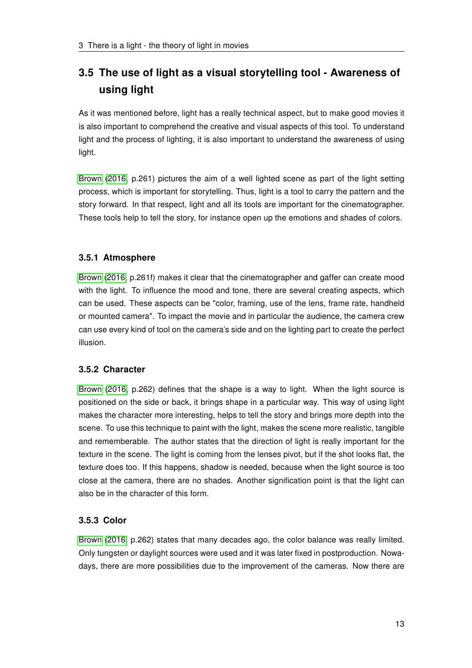# <span id="page-18-0"></span>3.5 The use of light as a visual storytelling tool - Awareness of using light

As it was mentioned before, light has a really technical aspect, but to make good movies it is also important to comprehend the creative and visual aspects of this tool. To understand light and the process of lighting, it is also important to understand the awareness of using light.

[Brown \(2016,](#page-42-1) p.261) pictures the aim of a well lighted scene as part of the light setting process, which is important for storytelling. Thus, light is a tool to carry the pattern and the story forward. In that respect, light and all its tools are important for the cinematographer. These tools help to tell the story, for instance open up the emotions and shades of colors.

# <span id="page-18-1"></span>3.5.1 Atmosphere

[Brown \(2016,](#page-42-1) p.261f) makes it clear that the cinematographer and gaffer can create mood with the light. To influence the mood and tone, there are several creating aspects, which can be used. These aspects can be "color, framing, use of the lens, frame rate, handheld or mounted camera". To impact the movie and in particular the audience, the camera crew can use every kind of tool on the camera's side and on the lighting part to create the perfect illusion.

#### <span id="page-18-2"></span>3.5.2 Character

[Brown \(2016,](#page-42-1) p.262) defines that the shape is a way to light. When the light source is positioned on the side or back, it brings shape in a particular way. This way of using light makes the character more interesting, helps to tell the story and brings more depth into the scene. To use this technique to paint with the light, makes the scene more realistic, tangible and rememberable. The author states that the direction of light is really important for the texture in the scene. The light is coming from the lenses pivot, but if the shot looks flat, the texture does too. If this happens, shadow is needed, because when the light source is too close at the camera, there are no shades. Another signification point is that the light can also be in the character of this form.

# <span id="page-18-3"></span>3.5.3 Color

[Brown \(2016,](#page-42-1) p.262) states that many decades ago, the color balance was really limited. Only tungsten or daylight sources were used and it was later fixed in postproduction. Nowadays, there are more possibilities due to the improvement of the cameras. Now there are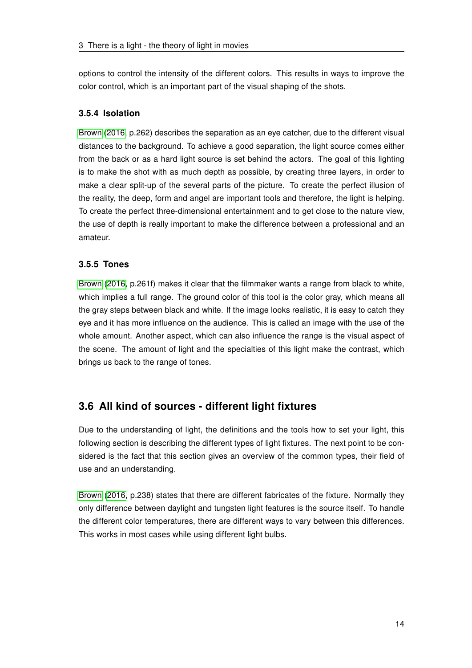options to control the intensity of the different colors. This results in ways to improve the color control, which is an important part of the visual shaping of the shots.

### <span id="page-19-0"></span>3.5.4 Isolation

[Brown \(2016,](#page-42-1) p.262) describes the separation as an eye catcher, due to the different visual distances to the background. To achieve a good separation, the light source comes either from the back or as a hard light source is set behind the actors. The goal of this lighting is to make the shot with as much depth as possible, by creating three layers, in order to make a clear split-up of the several parts of the picture. To create the perfect illusion of the reality, the deep, form and angel are important tools and therefore, the light is helping. To create the perfect three-dimensional entertainment and to get close to the nature view, the use of depth is really important to make the difference between a professional and an amateur.

### <span id="page-19-1"></span>3.5.5 Tones

[Brown \(2016,](#page-42-1) p.261f) makes it clear that the filmmaker wants a range from black to white, which implies a full range. The ground color of this tool is the color gray, which means all the gray steps between black and white. If the image looks realistic, it is easy to catch they eye and it has more influence on the audience. This is called an image with the use of the whole amount. Another aspect, which can also influence the range is the visual aspect of the scene. The amount of light and the specialties of this light make the contrast, which brings us back to the range of tones.

# <span id="page-19-2"></span>3.6 All kind of sources - different light fixtures

Due to the understanding of light, the definitions and the tools how to set your light, this following section is describing the different types of light fixtures. The next point to be considered is the fact that this section gives an overview of the common types, their field of use and an understanding.

[Brown \(2016,](#page-42-1) p.238) states that there are different fabricates of the fixture. Normally they only difference between daylight and tungsten light features is the source itself. To handle the different color temperatures, there are different ways to vary between this differences. This works in most cases while using different light bulbs.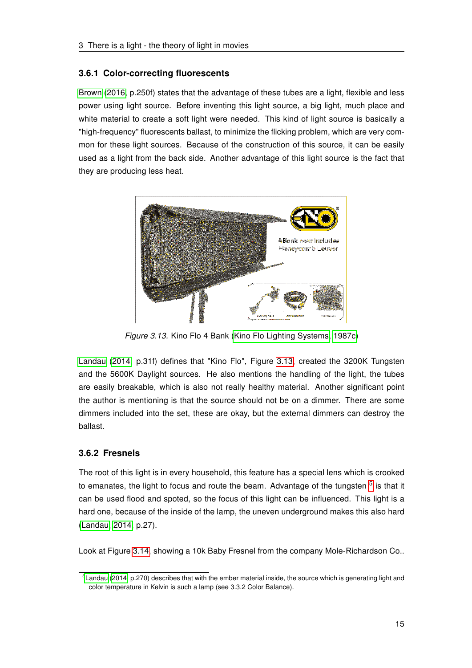#### <span id="page-20-0"></span>3.6.1 Color-correcting fluorescents

[Brown \(2016,](#page-42-1) p.250f) states that the advantage of these tubes are a light, flexible and less power using light source. Before inventing this light source, a big light, much place and white material to create a soft light were needed. This kind of light source is basically a "high-frequency" fluorescents ballast, to minimize the flicking problem, which are very common for these light sources. Because of the construction of this source, it can be easily used as a light from the back side. Another advantage of this light source is the fact that they are producing less heat.

<span id="page-20-2"></span>

Figure 3.13. Kino Flo 4 Bank [\(Kino Flo Lighting Systems, 1987c\)](#page-43-3)

[Landau \(2014,](#page-43-0) p.31f) defines that "Kino Flo", Figure [3.13,](#page-20-2) created the 3200K Tungsten and the 5600K Daylight sources. He also mentions the handling of the light, the tubes are easily breakable, which is also not really healthy material. Another significant point the author is mentioning is that the source should not be on a dimmer. There are some dimmers included into the set, these are okay, but the external dimmers can destroy the ballast.

# <span id="page-20-1"></span>3.6.2 Fresnels

The root of this light is in every household, this feature has a special lens which is crooked to emanates, the light to focus and route the beam. Advantage of the tungsten <sup>[5](#page-20-3)</sup> is that it can be used flood and spoted, so the focus of this light can be influenced. This light is a hard one, because of the inside of the lamp, the uneven underground makes this also hard [\(Landau, 2014,](#page-43-0) p.27).

Look at Figure [3.14,](#page-21-1) showing a 10k Baby Fresnel from the company Mole-Richardson Co..

<span id="page-20-3"></span> $5$ [Landau \(2014,](#page-43-0) p.270) describes that with the ember material inside, the source which is generating light and color temperature in Kelvin is such a lamp (see 3.3.2 Color Balance).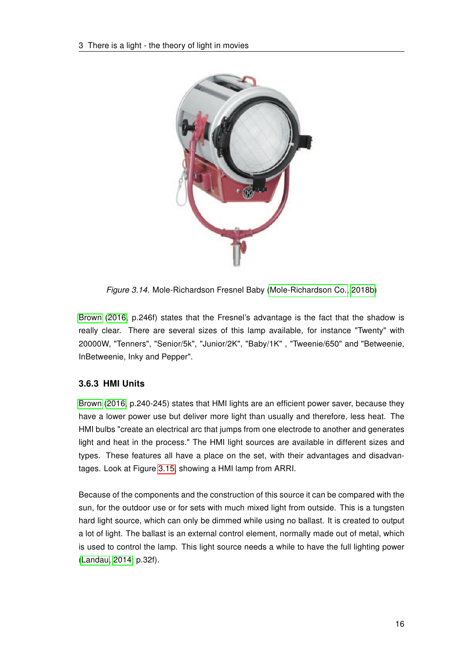<span id="page-21-1"></span>

Figure 3.14. Mole-Richardson Fresnel Baby [\(Mole-Richardson Co., 2018b\)](#page-44-1)

[Brown \(2016,](#page-42-1) p.246f) states that the Fresnel's advantage is the fact that the shadow is really clear. There are several sizes of this lamp available, for instance "Twenty" with 20000W, "Tenners", "Senior/5k", "Junior/2K", "Baby/1K" , "Tweenie/650" and "Betweenie, InBetweenie, Inky and Pepper".

# <span id="page-21-0"></span>3.6.3 HMI Units

[Brown \(2016,](#page-42-1) p.240-245) states that HMI lights are an efficient power saver, because they have a lower power use but deliver more light than usually and therefore, less heat. The HMI bulbs "create an electrical arc that jumps from one electrode to another and generates light and heat in the process." The HMI light sources are available in different sizes and types. These features all have a place on the set, with their advantages and disadvantages. Look at Figure [3.15,](#page-22-4) showing a HMI lamp from ARRI.

Because of the components and the construction of this source it can be compared with the sun, for the outdoor use or for sets with much mixed light from outside. This is a tungsten hard light source, which can only be dimmed while using no ballast. It is created to output a lot of light. The ballast is an external control element, normally made out of metal, which is used to control the lamp. This light source needs a while to have the full lighting power [\(Landau, 2014,](#page-43-0) p.32f).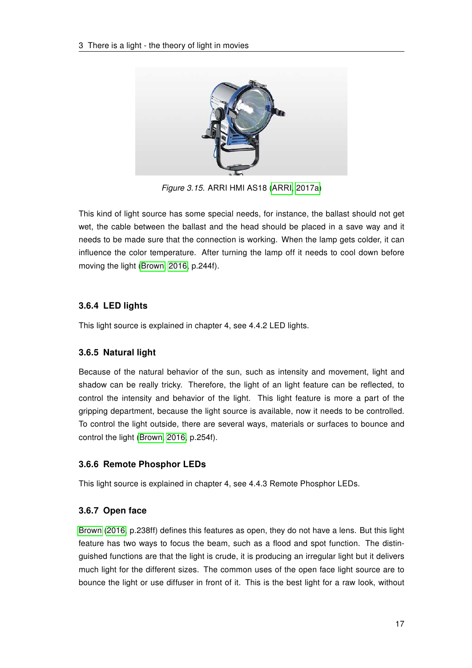<span id="page-22-4"></span>

Figure 3.15. ARRI HMI AS18 [\(ARRI, 2017a\)](#page-42-2)

This kind of light source has some special needs, for instance, the ballast should not get wet, the cable between the ballast and the head should be placed in a save way and it needs to be made sure that the connection is working. When the lamp gets colder, it can influence the color temperature. After turning the lamp off it needs to cool down before moving the light [\(Brown, 2016,](#page-42-1) p.244f).

# <span id="page-22-0"></span>3.6.4 LED lights

This light source is explained in chapter 4, see 4.4.2 LED lights.

# <span id="page-22-1"></span>3.6.5 Natural light

Because of the natural behavior of the sun, such as intensity and movement, light and shadow can be really tricky. Therefore, the light of an light feature can be reflected, to control the intensity and behavior of the light. This light feature is more a part of the gripping department, because the light source is available, now it needs to be controlled. To control the light outside, there are several ways, materials or surfaces to bounce and control the light [\(Brown, 2016,](#page-42-1) p.254f).

# <span id="page-22-2"></span>3.6.6 Remote Phosphor LEDs

This light source is explained in chapter 4, see 4.4.3 Remote Phosphor LEDs.

# <span id="page-22-3"></span>3.6.7 Open face

[Brown \(2016,](#page-42-1) p.238ff) defines this features as open, they do not have a lens. But this light feature has two ways to focus the beam, such as a flood and spot function. The distinguished functions are that the light is crude, it is producing an irregular light but it delivers much light for the different sizes. The common uses of the open face light source are to bounce the light or use diffuser in front of it. This is the best light for a raw look, without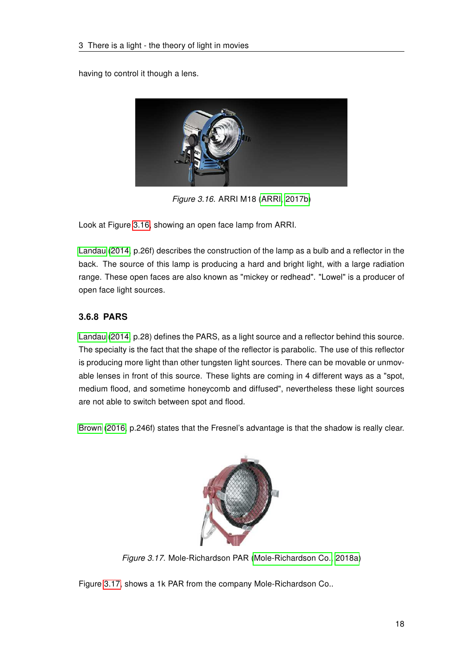<span id="page-23-1"></span>having to control it though a lens.



Figure 3.16. ARRI M18 [\(ARRI, 2017b\)](#page-42-3)

Look at Figure [3.16,](#page-23-1) showing an open face lamp from ARRI.

[Landau \(2014,](#page-43-0) p.26f) describes the construction of the lamp as a bulb and a reflector in the back. The source of this lamp is producing a hard and bright light, with a large radiation range. These open faces are also known as "mickey or redhead". "Lowel" is a producer of open face light sources.

# <span id="page-23-0"></span>3.6.8 PARS

[Landau \(2014,](#page-43-0) p.28) defines the PARS, as a light source and a reflector behind this source. The specialty is the fact that the shape of the reflector is parabolic. The use of this reflector is producing more light than other tungsten light sources. There can be movable or unmovable lenses in front of this source. These lights are coming in 4 different ways as a "spot, medium flood, and sometime honeycomb and diffused", nevertheless these light sources are not able to switch between spot and flood.

<span id="page-23-2"></span>[Brown \(2016,](#page-42-1) p.246f) states that the Fresnel's advantage is that the shadow is really clear.



Figure 3.17. Mole-Richardson PAR [\(Mole-Richardson Co., 2018a\)](#page-44-2)

Figure [3.17,](#page-23-2) shows a 1k PAR from the company Mole-Richardson Co..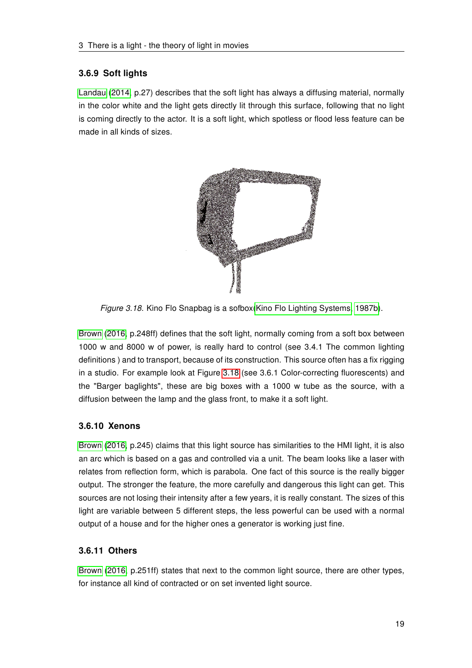### <span id="page-24-0"></span>3.6.9 Soft lights

[Landau \(2014,](#page-43-0) p.27) describes that the soft light has always a diffusing material, normally in the color white and the light gets directly lit through this surface, following that no light is coming directly to the actor. It is a soft light, which spotless or flood less feature can be made in all kinds of sizes.

<span id="page-24-3"></span>

Figure 3.18. Kino Flo Snapbag is a sofbox[\(Kino Flo Lighting Systems, 1987b\)](#page-43-4).

[Brown \(2016,](#page-42-1) p.248ff) defines that the soft light, normally coming from a soft box between 1000 w and 8000 w of power, is really hard to control (see 3.4.1 The common lighting definitions ) and to transport, because of its construction. This source often has a fix rigging in a studio. For example look at Figure [3.18](#page-24-3) (see 3.6.1 Color-correcting fluorescents) and the "Barger baglights", these are big boxes with a 1000 w tube as the source, with a diffusion between the lamp and the glass front, to make it a soft light.

# <span id="page-24-1"></span>3.6.10 Xenons

[Brown \(2016,](#page-42-1) p.245) claims that this light source has similarities to the HMI light, it is also an arc which is based on a gas and controlled via a unit. The beam looks like a laser with relates from reflection form, which is parabola. One fact of this source is the really bigger output. The stronger the feature, the more carefully and dangerous this light can get. This sources are not losing their intensity after a few years, it is really constant. The sizes of this light are variable between 5 different steps, the less powerful can be used with a normal output of a house and for the higher ones a generator is working just fine.

# <span id="page-24-2"></span>3.6.11 Others

[Brown \(2016,](#page-42-1) p.251ff) states that next to the common light source, there are other types, for instance all kind of contracted or on set invented light source.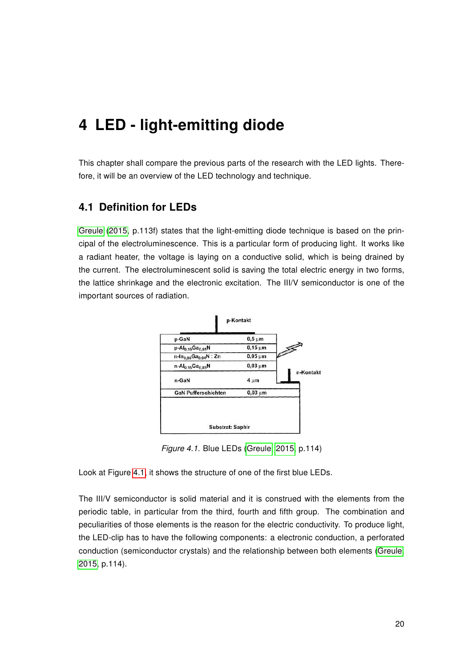# <span id="page-25-0"></span>4 LED - light-emitting diode

This chapter shall compare the previous parts of the research with the LED lights. Therefore, it will be an overview of the LED technology and technique.

# <span id="page-25-1"></span>4.1 Definition for LEDs

[Greule \(2015,](#page-43-5) p.113f) states that the light-emitting diode technique is based on the principal of the electroluminescence. This is a particular form of producing light. It works like a radiant heater, the voltage is laying on a conductive solid, which is being drained by the current. The electroluminescent solid is saving the total electric energy in two forms, the lattice shrinkage and the electronic excitation. The III/V semiconductor is one of the important sources of radiation.

<span id="page-25-2"></span>

Figure 4.1. Blue LEDs [\(Greule, 2015,](#page-43-5) p.114)

Look at Figure [4.1,](#page-25-2) it shows the structure of one of the first blue LEDs.

The III/V semiconductor is solid material and it is construed with the elements from the periodic table, in particular from the third, fourth and fifth group. The combination and peculiarities of those elements is the reason for the electric conductivity. To produce light, the LED-clip has to have the following components: a electronic conduction, a perforated conduction (semiconductor crystals) and the relationship between both elements [\(Greule,](#page-43-5) [2015,](#page-43-5) p.114).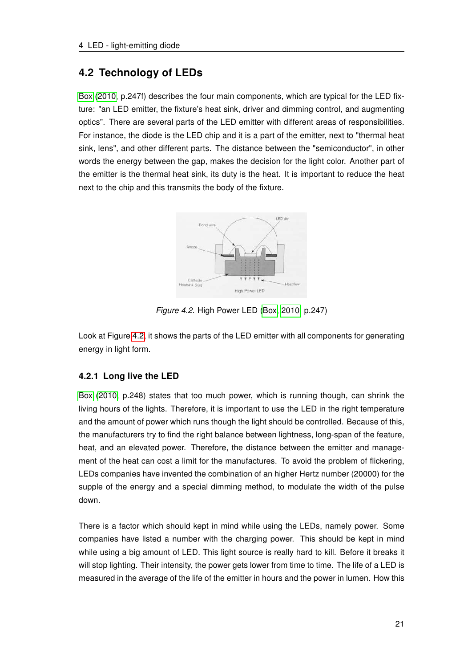# <span id="page-26-0"></span>4.2 Technology of LEDs

[Box \(2010,](#page-42-4) p.247f) describes the four main components, which are typical for the LED fixture: "an LED emitter, the fixture's heat sink, driver and dimming control, and augmenting optics". There are several parts of the LED emitter with different areas of responsibilities. For instance, the diode is the LED chip and it is a part of the emitter, next to "thermal heat sink, lens", and other different parts. The distance between the "semiconductor", in other words the energy between the gap, makes the decision for the light color. Another part of the emitter is the thermal heat sink, its duty is the heat. It is important to reduce the heat next to the chip and this transmits the body of the fixture.

<span id="page-26-2"></span>

Figure 4.2. High Power LED [\(Box, 2010,](#page-42-4) p.247)

Look at Figure [4.2,](#page-26-2) it shows the parts of the LED emitter with all components for generating energy in light form.

# <span id="page-26-1"></span>4.2.1 Long live the LED

[Box \(2010,](#page-42-4) p.248) states that too much power, which is running though, can shrink the living hours of the lights. Therefore, it is important to use the LED in the right temperature and the amount of power which runs though the light should be controlled. Because of this, the manufacturers try to find the right balance between lightness, long-span of the feature, heat, and an elevated power. Therefore, the distance between the emitter and management of the heat can cost a limit for the manufactures. To avoid the problem of flickering, LEDs companies have invented the combination of an higher Hertz number (20000) for the supple of the energy and a special dimming method, to modulate the width of the pulse down.

There is a factor which should kept in mind while using the LEDs, namely power. Some companies have listed a number with the charging power. This should be kept in mind while using a big amount of LED. This light source is really hard to kill. Before it breaks it will stop lighting. Their intensity, the power gets lower from time to time. The life of a LED is measured in the average of the life of the emitter in hours and the power in lumen. How this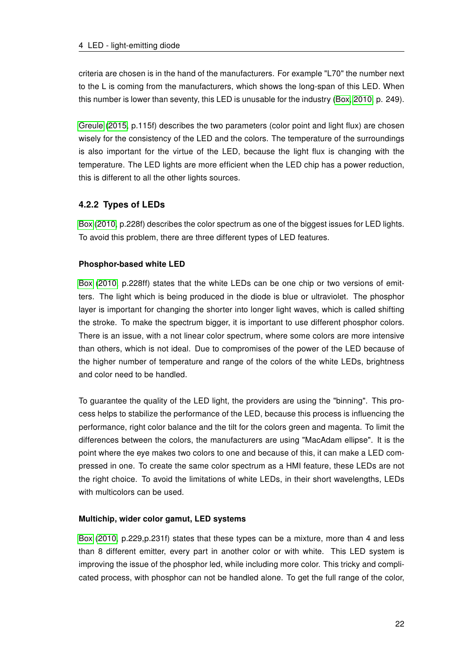criteria are chosen is in the hand of the manufacturers. For example "L70" the number next to the L is coming from the manufacturers, which shows the long-span of this LED. When this number is lower than seventy, this LED is unusable for the industry [\(Box, 2010,](#page-42-4) p. 249).

[Greule \(2015,](#page-43-5) p.115f) describes the two parameters (color point and light flux) are chosen wisely for the consistency of the LED and the colors. The temperature of the surroundings is also important for the virtue of the LED, because the light flux is changing with the temperature. The LED lights are more efficient when the LED chip has a power reduction, this is different to all the other lights sources.

# <span id="page-27-0"></span>4.2.2 Types of LEDs

[Box](#page-42-4) [\(2010,](#page-42-4) p.228f) describes the color spectrum as one of the biggest issues for LED lights. To avoid this problem, there are three different types of LED features.

### Phosphor-based white LED

[Box \(2010,](#page-42-4) p.228ff) states that the white LEDs can be one chip or two versions of emitters. The light which is being produced in the diode is blue or ultraviolet. The phosphor layer is important for changing the shorter into longer light waves, which is called shifting the stroke. To make the spectrum bigger, it is important to use different phosphor colors. There is an issue, with a not linear color spectrum, where some colors are more intensive than others, which is not ideal. Due to compromises of the power of the LED because of the higher number of temperature and range of the colors of the white LEDs, brightness and color need to be handled.

To guarantee the quality of the LED light, the providers are using the "binning". This process helps to stabilize the performance of the LED, because this process is influencing the performance, right color balance and the tilt for the colors green and magenta. To limit the differences between the colors, the manufacturers are using "MacAdam ellipse". It is the point where the eye makes two colors to one and because of this, it can make a LED compressed in one. To create the same color spectrum as a HMI feature, these LEDs are not the right choice. To avoid the limitations of white LEDs, in their short wavelengths, LEDs with multicolors can be used.

#### Multichip, wider color gamut, LED systems

[Box \(2010,](#page-42-4) p.229,p.231f) states that these types can be a mixture, more than 4 and less than 8 different emitter, every part in another color or with white. This LED system is improving the issue of the phosphor led, while including more color. This tricky and complicated process, with phosphor can not be handled alone. To get the full range of the color,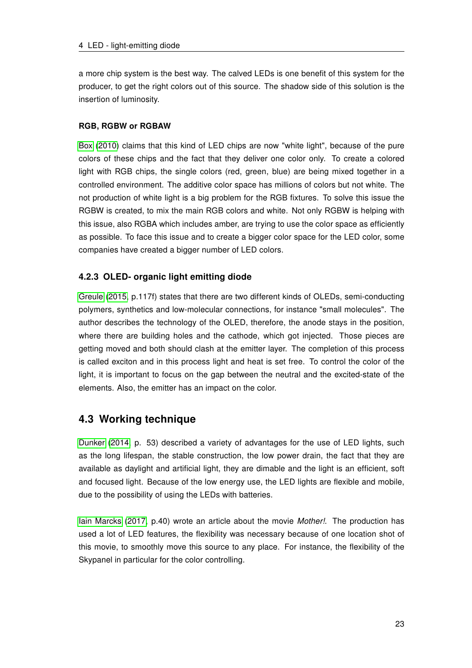a more chip system is the best way. The calved LEDs is one benefit of this system for the producer, to get the right colors out of this source. The shadow side of this solution is the insertion of luminosity.

#### RGB, RGBW or RGBAW

[Box \(2010\)](#page-42-4) claims that this kind of LED chips are now "white light", because of the pure colors of these chips and the fact that they deliver one color only. To create a colored light with RGB chips, the single colors (red, green, blue) are being mixed together in a controlled environment. The additive color space has millions of colors but not white. The not production of white light is a big problem for the RGB fixtures. To solve this issue the RGBW is created, to mix the main RGB colors and white. Not only RGBW is helping with this issue, also RGBA which includes amber, are trying to use the color space as efficiently as possible. To face this issue and to create a bigger color space for the LED color, some companies have created a bigger number of LED colors.

# <span id="page-28-0"></span>4.2.3 OLED- organic light emitting diode

[Greule \(2015,](#page-43-5) p.117f) states that there are two different kinds of OLEDs, semi-conducting polymers, synthetics and low-molecular connections, for instance "small molecules". The author describes the technology of the OLED, therefore, the anode stays in the position, where there are building holes and the cathode, which got injected. Those pieces are getting moved and both should clash at the emitter layer. The completion of this process is called exciton and in this process light and heat is set free. To control the color of the light, it is important to focus on the gap between the neutral and the excited-state of the elements. Also, the emitter has an impact on the color.

# <span id="page-28-1"></span>4.3 Working technique

[Dunker \(2014,](#page-43-1) p. 53) described a variety of advantages for the use of LED lights, such as the long lifespan, the stable construction, the low power drain, the fact that they are available as daylight and artificial light, they are dimable and the light is an efficient, soft and focused light. Because of the low energy use, the LED lights are flexible and mobile, due to the possibility of using the LEDs with batteries.

[Iain Marcks \(2017,](#page-43-6) p.40) wrote an article about the movie Mother!. The production has used a lot of LED features, the flexibility was necessary because of one location shot of this movie, to smoothly move this source to any place. For instance, the flexibility of the Skypanel in particular for the color controlling.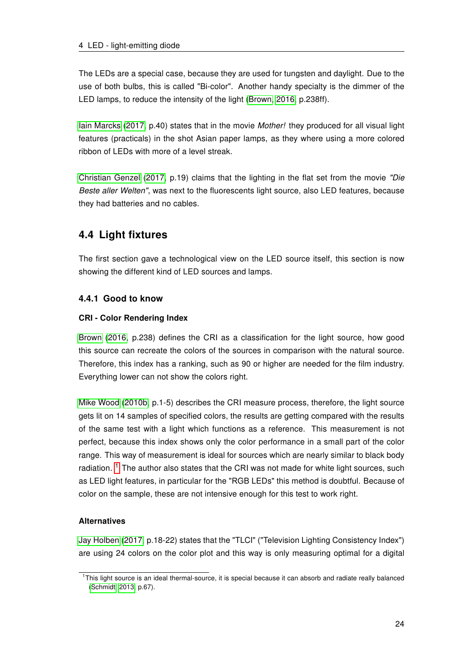The LEDs are a special case, because they are used for tungsten and daylight. Due to the use of both bulbs, this is called "Bi-color". Another handy specialty is the dimmer of the LED lamps, to reduce the intensity of the light [\(Brown, 2016,](#page-42-1) p.238ff).

[Iain Marcks \(2017,](#page-43-6) p.40) states that in the movie Mother! they produced for all visual light features (practicals) in the shot Asian paper lamps, as they where using a more colored ribbon of LEDs with more of a level streak.

[Christian Genzel \(2017,](#page-42-5) p.19) claims that the lighting in the flat set from the movie "Die Beste aller Welten", was next to the fluorescents light source, also LED features, because they had batteries and no cables.

# <span id="page-29-0"></span>4.4 Light fixtures

The first section gave a technological view on the LED source itself, this section is now showing the different kind of LED sources and lamps.

# <span id="page-29-1"></span>4.4.1 Good to know

#### CRI - Color Rendering Index

[Brown \(2016,](#page-42-1) p.238) defines the CRI as a classification for the light source, how good this source can recreate the colors of the sources in comparison with the natural source. Therefore, this index has a ranking, such as 90 or higher are needed for the film industry. Everything lower can not show the colors right.

[Mike Wood \(2010b,](#page-44-3) p.1-5) describes the CRI measure process, therefore, the light source gets lit on 14 samples of specified colors, the results are getting compared with the results of the same test with a light which functions as a reference. This measurement is not perfect, because this index shows only the color performance in a small part of the color range. This way of measurement is ideal for sources which are nearly similar to black body radiation.  $1$  The author also states that the CRI was not made for white light sources, such as LED light features, in particular for the "RGB LEDs" this method is doubtful. Because of color on the sample, these are not intensive enough for this test to work right.

#### **Alternatives**

[Jay Holben](#page-43-7) [\(2017,](#page-43-7) p.18-22) states that the "TLCI" ("Television Lighting Consistency Index") are using 24 colors on the color plot and this way is only measuring optimal for a digital

<span id="page-29-2"></span><sup>&</sup>lt;sup>1</sup>This light source is an ideal thermal-source, it is special because it can absorb and radiate really balanced [\(Schmidt, 2013,](#page-44-0) p.67).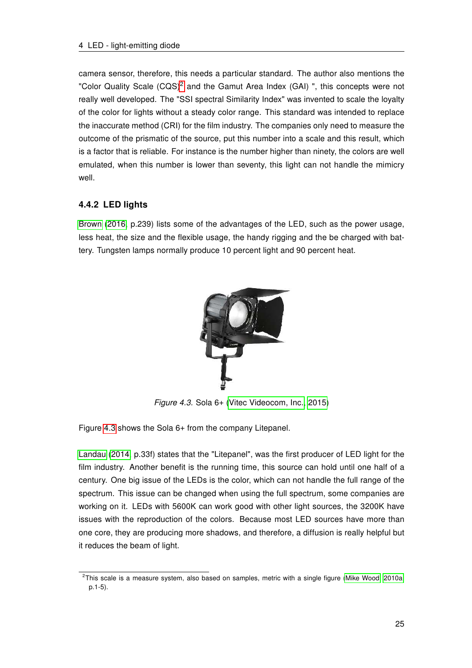camera sensor, therefore, this needs a particular standard. The author also mentions the "Color Quality Scale  $(CQS)^2$  $(CQS)^2$  and the Gamut Area Index (GAI)", this concepts were not really well developed. The "SSI spectral Similarity Index" was invented to scale the loyalty of the color for lights without a steady color range. This standard was intended to replace the inaccurate method (CRI) for the film industry. The companies only need to measure the outcome of the prismatic of the source, put this number into a scale and this result, which is a factor that is reliable. For instance is the number higher than ninety, the colors are well emulated, when this number is lower than seventy, this light can not handle the mimicry well.

# <span id="page-30-0"></span>4.4.2 LED lights

<span id="page-30-2"></span>[Brown \(2016,](#page-42-1) p.239) lists some of the advantages of the LED, such as the power usage, less heat, the size and the flexible usage, the handy rigging and the be charged with battery. Tungsten lamps normally produce 10 percent light and 90 percent heat.



Figure 4.3. Sola 6+ [\(Vitec Videocom, Inc., 2015\)](#page-44-4)

Figure [4.3](#page-30-2) shows the Sola 6+ from the company Litepanel.

[Landau \(2014,](#page-43-0) p.33f) states that the "Litepanel", was the first producer of LED light for the film industry. Another benefit is the running time, this source can hold until one half of a century. One big issue of the LEDs is the color, which can not handle the full range of the spectrum. This issue can be changed when using the full spectrum, some companies are working on it. LEDs with 5600K can work good with other light sources, the 3200K have issues with the reproduction of the colors. Because most LED sources have more than one core, they are producing more shadows, and therefore, a diffusion is really helpful but it reduces the beam of light.

<span id="page-30-1"></span> $2$ This scale is a measure system, also based on samples, metric with a single figure [\(Mike Wood, 2010a,](#page-43-8) p.1-5).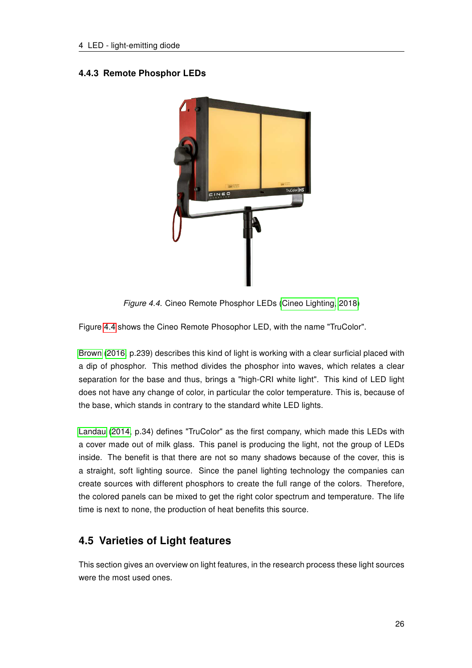# <span id="page-31-2"></span><span id="page-31-0"></span>4.4.3 Remote Phosphor LEDs



Figure 4.4. Cineo Remote Phosphor LEDs [\(Cineo Lighting, 2018\)](#page-42-6)

Figure [4.4](#page-31-2) shows the Cineo Remote Phosophor LED, with the name "TruColor".

[Brown \(2016,](#page-42-1) p.239) describes this kind of light is working with a clear surficial placed with a dip of phosphor. This method divides the phosphor into waves, which relates a clear separation for the base and thus, brings a "high-CRI white light". This kind of LED light does not have any change of color, in particular the color temperature. This is, because of the base, which stands in contrary to the standard white LED lights.

[Landau \(2014,](#page-43-0) p.34) defines "TruColor" as the first company, which made this LEDs with a cover made out of milk glass. This panel is producing the light, not the group of LEDs inside. The benefit is that there are not so many shadows because of the cover, this is a straight, soft lighting source. Since the panel lighting technology the companies can create sources with different phosphors to create the full range of the colors. Therefore, the colored panels can be mixed to get the right color spectrum and temperature. The life time is next to none, the production of heat benefits this source.

# <span id="page-31-1"></span>4.5 Varieties of Light features

This section gives an overview on light features, in the research process these light sources were the most used ones.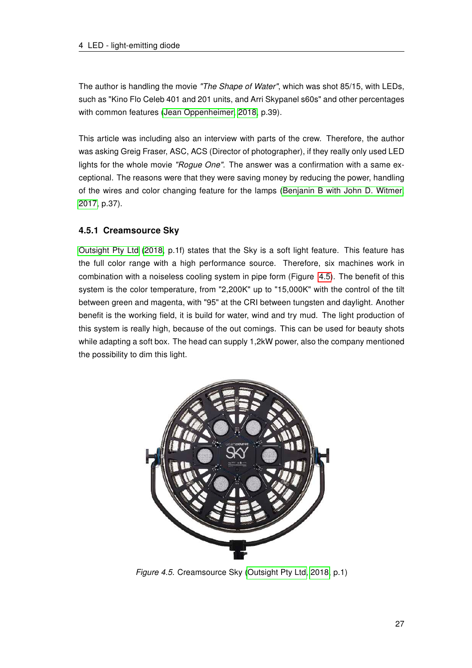The author is handling the movie "The Shape of Water", which was shot 85/15, with LEDs, such as "Kino Flo Celeb 401 and 201 units, and Arri Skypanel s60s" and other percentages with common features [\(Jean Oppenheimer, 2018,](#page-43-9) p.39).

This article was including also an interview with parts of the crew. Therefore, the author was asking Greig Fraser, ASC, ACS (Director of photographer), if they really only used LED lights for the whole movie "Rogue One". The answer was a confirmation with a same exceptional. The reasons were that they were saving money by reducing the power, handling of the wires and color changing feature for the lamps [\(Benjanin B with John D. Witmer,](#page-42-7) [2017,](#page-42-7) p.37).

# <span id="page-32-0"></span>4.5.1 Creamsource Sky

[Outsight Pty Ltd \(2018,](#page-44-5) p.1f) states that the Sky is a soft light feature. This feature has the full color range with a high performance source. Therefore, six machines work in combination with a noiseless cooling system in pipe form (Figure [4.5\)](#page-32-1). The benefit of this system is the color temperature, from "2,200K" up to "15,000K" with the control of the tilt between green and magenta, with "95" at the CRI between tungsten and daylight. Another benefit is the working field, it is build for water, wind and try mud. The light production of this system is really high, because of the out comings. This can be used for beauty shots while adapting a soft box. The head can supply 1,2kW power, also the company mentioned the possibility to dim this light.

<span id="page-32-1"></span>

Figure 4.5. Creamsource Sky [\(Outsight Pty Ltd, 2018,](#page-44-5) p.1)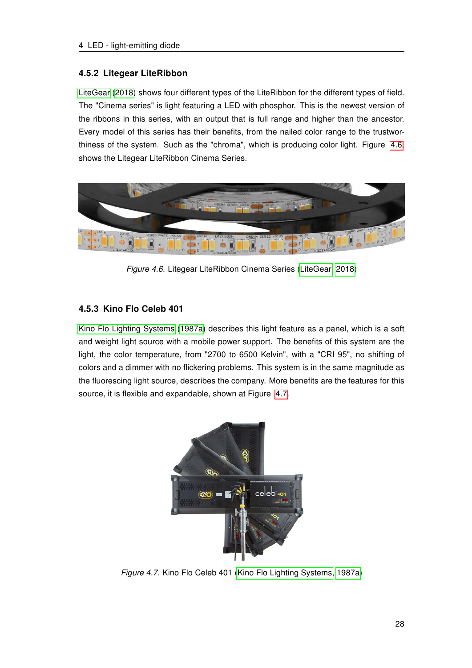### <span id="page-33-0"></span>4.5.2 Litegear LiteRibbon

[LiteGear \(2018\)](#page-43-10) shows four different types of the LiteRibbon for the different types of field. The "Cinema series" is light featuring a LED with phosphor. This is the newest version of the ribbons in this series, with an output that is full range and higher than the ancestor. Every model of this series has their benefits, from the nailed color range to the trustwor-thiness of the system. Such as the "chroma", which is producing color light. Figure [4.6,](#page-33-2) shows the Litegear LiteRibbon Cinema Series.

<span id="page-33-2"></span>

Figure 4.6. Litegear LiteRibbon Cinema Series [\(LiteGear, 2018\)](#page-43-10)

# <span id="page-33-1"></span>4.5.3 Kino Flo Celeb 401

[Kino Flo Lighting Systems \(1987a\)](#page-43-11) describes this light feature as a panel, which is a soft and weight light source with a mobile power support. The benefits of this system are the light, the color temperature, from "2700 to 6500 Kelvin", with a "CRI 95", no shifting of colors and a dimmer with no flickering problems. This system is in the same magnitude as the fluorescing light source, describes the company. More benefits are the features for this source, it is flexible and expandable, shown at Figure [4.7.](#page-33-3)

<span id="page-33-3"></span>

Figure 4.7. Kino Flo Celeb 401 [\(Kino Flo Lighting Systems, 1987a\)](#page-43-11)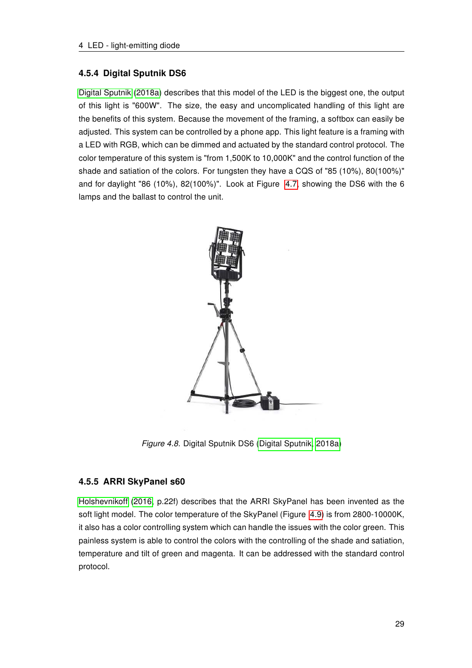#### <span id="page-34-0"></span>4.5.4 Digital Sputnik DS6

[Digital Sputnik \(2018a\)](#page-42-8) describes that this model of the LED is the biggest one, the output of this light is "600W". The size, the easy and uncomplicated handling of this light are the benefits of this system. Because the movement of the framing, a softbox can easily be adjusted. This system can be controlled by a phone app. This light feature is a framing with a LED with RGB, which can be dimmed and actuated by the standard control protocol. The color temperature of this system is "from 1,500K to 10,000K" and the control function of the shade and satiation of the colors. For tungsten they have a CQS of "85 (10%), 80(100%)" and for daylight "86 (10%), 82(100%)". Look at Figure [4.7,](#page-33-3) showing the DS6 with the 6 lamps and the ballast to control the unit.

<span id="page-34-2"></span>

Figure 4.8. Digital Sputnik DS6 [\(Digital Sputnik, 2018a\)](#page-42-8)

#### <span id="page-34-1"></span>4.5.5 ARRI SkyPanel s60

[Holshevnikoff \(2016,](#page-43-2) p.22f) describes that the ARRI SkyPanel has been invented as the soft light model. The color temperature of the SkyPanel (Figure [4.9\)](#page-35-2) is from 2800-10000K, it also has a color controlling system which can handle the issues with the color green. This painless system is able to control the colors with the controlling of the shade and satiation, temperature and tilt of green and magenta. It can be addressed with the standard control protocol.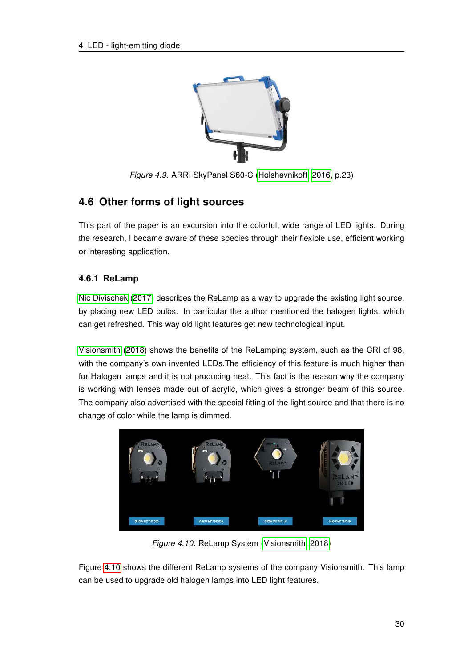<span id="page-35-2"></span>

Figure 4.9. ARRI SkyPanel S60-C [\(Holshevnikoff, 2016,](#page-43-2) p.23)

# <span id="page-35-0"></span>4.6 Other forms of light sources

This part of the paper is an excursion into the colorful, wide range of LED lights. During the research, I became aware of these species through their flexible use, efficient working or interesting application.

# <span id="page-35-1"></span>4.6.1 ReLamp

[Nic Divischek \(2017\)](#page-44-6) describes the ReLamp as a way to upgrade the existing light source, by placing new LED bulbs. In particular the author mentioned the halogen lights, which can get refreshed. This way old light features get new technological input.

[Visionsmith \(2018\)](#page-44-7) shows the benefits of the ReLamping system, such as the CRI of 98, with the company's own invented LEDs.The efficiency of this feature is much higher than for Halogen lamps and it is not producing heat. This fact is the reason why the company is working with lenses made out of acrylic, which gives a stronger beam of this source. The company also advertised with the special fitting of the light source and that there is no change of color while the lamp is dimmed.

<span id="page-35-3"></span>

Figure 4.10. ReLamp System [\(Visionsmith, 2018\)](#page-44-7)

Figure [4.10](#page-35-3) shows the different ReLamp systems of the company Visionsmith. This lamp can be used to upgrade old halogen lamps into LED light features.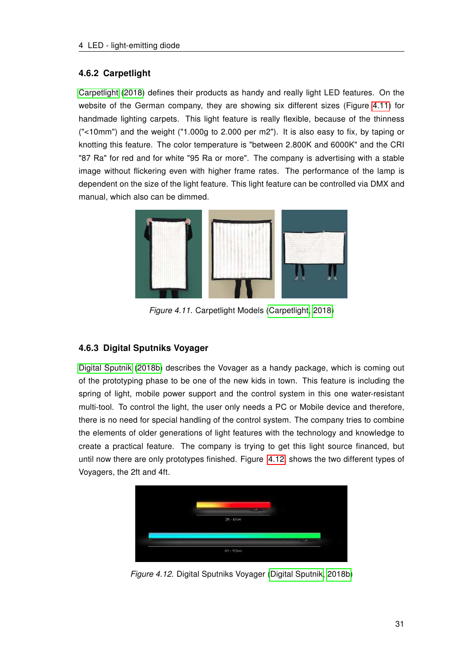### <span id="page-36-0"></span>4.6.2 Carpetlight

[Carpetlight \(2018\)](#page-42-9) defines their products as handy and really light LED features. On the website of the German company, they are showing six different sizes (Figure [4.11\)](#page-36-2) for handmade lighting carpets. This light feature is really flexible, because of the thinness ("<10mm") and the weight ("1.000g to 2.000 per m2"). It is also easy to fix, by taping or knotting this feature. The color temperature is "between 2.800K and 6000K" and the CRI "87 Ra" for red and for white "95 Ra or more". The company is advertising with a stable image without flickering even with higher frame rates. The performance of the lamp is dependent on the size of the light feature. This light feature can be controlled via DMX and manual, which also can be dimmed.

<span id="page-36-2"></span>

Figure 4.11. Carpetlight Models [\(Carpetlight, 2018\)](#page-42-9)

# <span id="page-36-1"></span>4.6.3 Digital Sputniks Voyager

[Digital Sputnik \(2018b\)](#page-43-12) describes the Vovager as a handy package, which is coming out of the prototyping phase to be one of the new kids in town. This feature is including the spring of light, mobile power support and the control system in this one water-resistant multi-tool. To control the light, the user only needs a PC or Mobile device and therefore, there is no need for special handling of the control system. The company tries to combine the elements of older generations of light features with the technology and knowledge to create a practical feature. The company is trying to get this light source financed, but until now there are only prototypes finished. Figure [4.12,](#page-36-3) shows the two different types of Voyagers, the 2ft and 4ft.

<span id="page-36-3"></span>

Figure 4.12. Digital Sputniks Voyager [\(Digital Sputnik, 2018b\)](#page-43-12)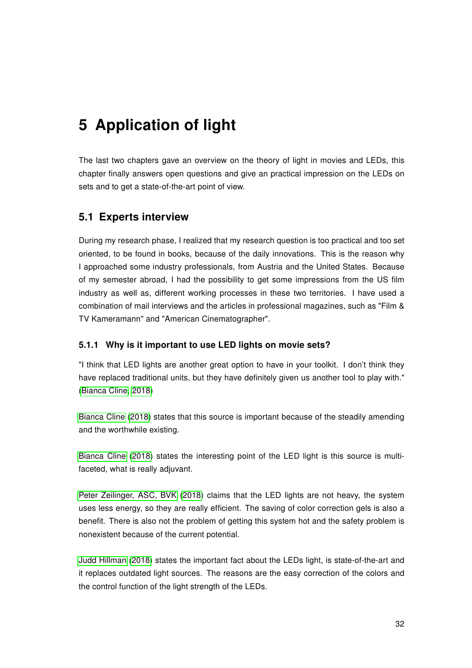# <span id="page-37-0"></span>5 Application of light

The last two chapters gave an overview on the theory of light in movies and LEDs, this chapter finally answers open questions and give an practical impression on the LEDs on sets and to get a state-of-the-art point of view.

# <span id="page-37-1"></span>5.1 Experts interview

During my research phase, I realized that my research question is too practical and too set oriented, to be found in books, because of the daily innovations. This is the reason why I approached some industry professionals, from Austria and the United States. Because of my semester abroad, I had the possibility to get some impressions from the US film industry as well as, different working processes in these two territories. I have used a combination of mail interviews and the articles in professional magazines, such as "Film & TV Kameramann" and "American Cinematographer".

#### <span id="page-37-2"></span>5.1.1 Why is it important to use LED lights on movie sets?

"I think that LED lights are another great option to have in your toolkit. I don't think they have replaced traditional units, but they have definitely given us another tool to play with." [\(Bianca Cline, 2018\)](#page-42-10)

[Bianca Cline \(2018\)](#page-42-10) states that this source is important because of the steadily amending and the worthwhile existing.

[Bianca Cline](#page-42-10) [\(2018\)](#page-42-10) states the interesting point of the LED light is this source is multifaceted, what is really adjuvant.

[Peter Zeilinger, ASC, BVK \(2018\)](#page-44-8) claims that the LED lights are not heavy, the system uses less energy, so they are really efficient. The saving of color correction gels is also a benefit. There is also not the problem of getting this system hot and the safety problem is nonexistent because of the current potential.

[Judd Hillman \(2018\)](#page-43-13) states the important fact about the LEDs light, is state-of-the-art and it replaces outdated light sources. The reasons are the easy correction of the colors and the control function of the light strength of the LEDs.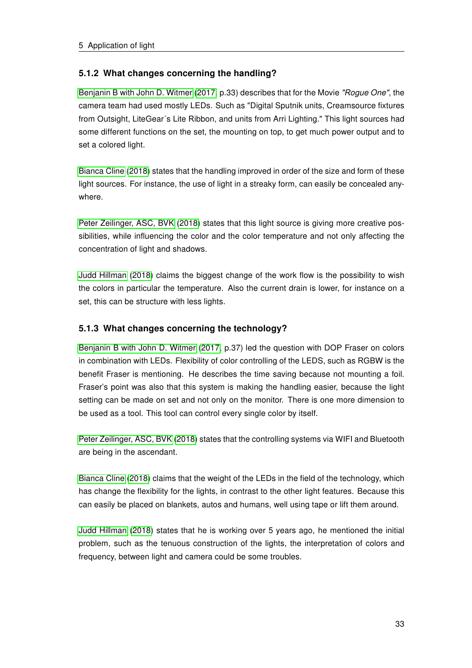### <span id="page-38-0"></span>5.1.2 What changes concerning the handling?

[Benjanin B with John D. Witmer](#page-42-7) [\(2017,](#page-42-7) p.33) describes that for the Movie "Rogue One", the camera team had used mostly LEDs. Such as "Digital Sputnik units, Creamsource fixtures from Outsight, LiteGear´s Lite Ribbon, and units from Arri Lighting." This light sources had some different functions on the set, the mounting on top, to get much power output and to set a colored light.

[Bianca Cline \(2018\)](#page-42-10) states that the handling improved in order of the size and form of these light sources. For instance, the use of light in a streaky form, can easily be concealed anywhere.

[Peter Zeilinger, ASC, BVK \(2018\)](#page-44-8) states that this light source is giving more creative possibilities, while influencing the color and the color temperature and not only affecting the concentration of light and shadows.

[Judd Hillman \(2018\)](#page-43-13) claims the biggest change of the work flow is the possibility to wish the colors in particular the temperature. Also the current drain is lower, for instance on a set, this can be structure with less lights.

### <span id="page-38-1"></span>5.1.3 What changes concerning the technology?

[Benjanin B with John D. Witmer \(2017,](#page-42-7) p.37) led the question with DOP Fraser on colors in combination with LEDs. Flexibility of color controlling of the LEDS, such as RGBW is the benefit Fraser is mentioning. He describes the time saving because not mounting a foil. Fraser's point was also that this system is making the handling easier, because the light setting can be made on set and not only on the monitor. There is one more dimension to be used as a tool. This tool can control every single color by itself.

[Peter Zeilinger, ASC, BVK \(2018\)](#page-44-8) states that the controlling systems via WIFI and Bluetooth are being in the ascendant.

[Bianca Cline \(2018\)](#page-42-10) claims that the weight of the LEDs in the field of the technology, which has change the flexibility for the lights, in contrast to the other light features. Because this can easily be placed on blankets, autos and humans, well using tape or lift them around.

[Judd Hillman \(2018\)](#page-43-13) states that he is working over 5 years ago, he mentioned the initial problem, such as the tenuous construction of the lights, the interpretation of colors and frequency, between light and camera could be some troubles.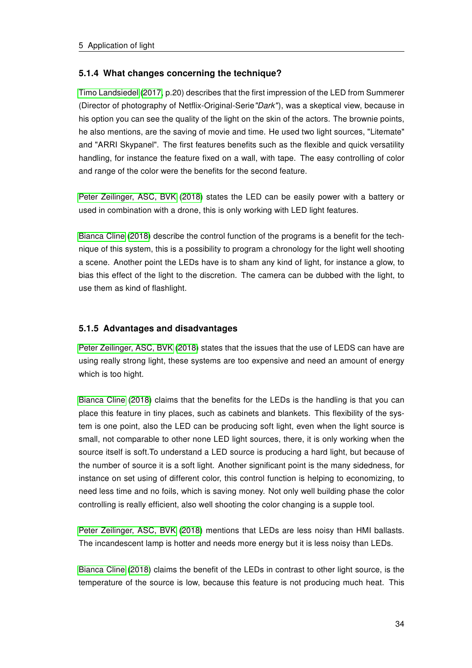### <span id="page-39-0"></span>5.1.4 What changes concerning the technique?

[Timo Landsiedel \(2017,](#page-44-9) p.20) describes that the first impression of the LED from Summerer (Director of photography of Netflix-Original-Serie"Dark"), was a skeptical view, because in his option you can see the quality of the light on the skin of the actors. The brownie points, he also mentions, are the saving of movie and time. He used two light sources, "Litemate" and "ARRI Skypanel". The first features benefits such as the flexible and quick versatility handling, for instance the feature fixed on a wall, with tape. The easy controlling of color and range of the color were the benefits for the second feature.

[Peter Zeilinger, ASC, BVK \(2018\)](#page-44-8) states the LED can be easily power with a battery or used in combination with a drone, this is only working with LED light features.

[Bianca Cline \(2018\)](#page-42-10) describe the control function of the programs is a benefit for the technique of this system, this is a possibility to program a chronology for the light well shooting a scene. Another point the LEDs have is to sham any kind of light, for instance a glow, to bias this effect of the light to the discretion. The camera can be dubbed with the light, to use them as kind of flashlight.

### <span id="page-39-1"></span>5.1.5 Advantages and disadvantages

[Peter Zeilinger, ASC, BVK \(2018\)](#page-44-8) states that the issues that the use of LEDS can have are using really strong light, these systems are too expensive and need an amount of energy which is too hight.

[Bianca Cline \(2018\)](#page-42-10) claims that the benefits for the LEDs is the handling is that you can place this feature in tiny places, such as cabinets and blankets. This flexibility of the system is one point, also the LED can be producing soft light, even when the light source is small, not comparable to other none LED light sources, there, it is only working when the source itself is soft.To understand a LED source is producing a hard light, but because of the number of source it is a soft light. Another significant point is the many sidedness, for instance on set using of different color, this control function is helping to economizing, to need less time and no foils, which is saving money. Not only well building phase the color controlling is really efficient, also well shooting the color changing is a supple tool.

[Peter Zeilinger, ASC, BVK \(2018\)](#page-44-8) mentions that LEDs are less noisy than HMI ballasts. The incandescent lamp is hotter and needs more energy but it is less noisy than LEDs.

[Bianca Cline \(2018\)](#page-42-10) claims the benefit of the LEDs in contrast to other light source, is the temperature of the source is low, because this feature is not producing much heat. This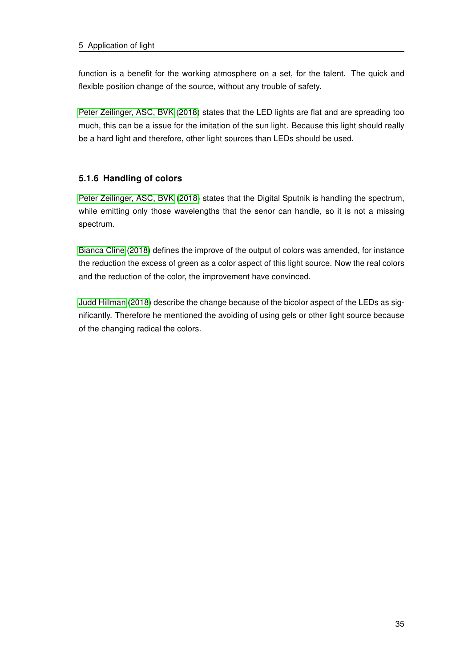function is a benefit for the working atmosphere on a set, for the talent. The quick and flexible position change of the source, without any trouble of safety.

[Peter Zeilinger, ASC, BVK \(2018\)](#page-44-8) states that the LED lights are flat and are spreading too much, this can be a issue for the imitation of the sun light. Because this light should really be a hard light and therefore, other light sources than LEDs should be used.

# <span id="page-40-0"></span>5.1.6 Handling of colors

[Peter Zeilinger, ASC, BVK \(2018\)](#page-44-8) states that the Digital Sputnik is handling the spectrum, while emitting only those wavelengths that the senor can handle, so it is not a missing spectrum.

[Bianca Cline \(2018\)](#page-42-10) defines the improve of the output of colors was amended, for instance the reduction the excess of green as a color aspect of this light source. Now the real colors and the reduction of the color, the improvement have convinced.

[Judd Hillman \(2018\)](#page-43-13) describe the change because of the bicolor aspect of the LEDs as significantly. Therefore he mentioned the avoiding of using gels or other light source because of the changing radical the colors.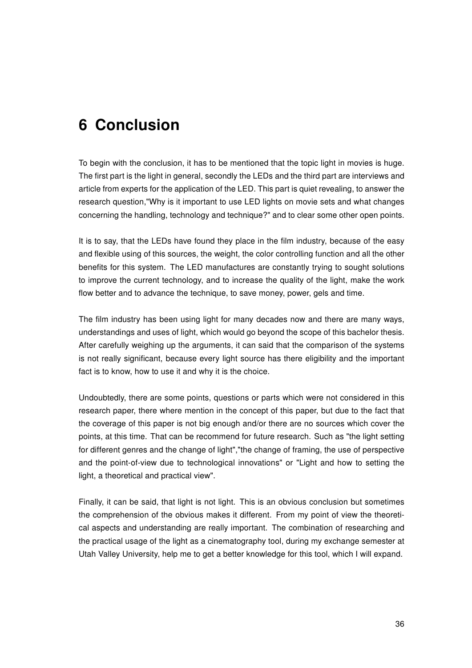# <span id="page-41-0"></span>6 Conclusion

To begin with the conclusion, it has to be mentioned that the topic light in movies is huge. The first part is the light in general, secondly the LEDs and the third part are interviews and article from experts for the application of the LED. This part is quiet revealing, to answer the research question,"Why is it important to use LED lights on movie sets and what changes concerning the handling, technology and technique?" and to clear some other open points.

It is to say, that the LEDs have found they place in the film industry, because of the easy and flexible using of this sources, the weight, the color controlling function and all the other benefits for this system. The LED manufactures are constantly trying to sought solutions to improve the current technology, and to increase the quality of the light, make the work flow better and to advance the technique, to save money, power, gels and time.

The film industry has been using light for many decades now and there are many ways, understandings and uses of light, which would go beyond the scope of this bachelor thesis. After carefully weighing up the arguments, it can said that the comparison of the systems is not really significant, because every light source has there eligibility and the important fact is to know, how to use it and why it is the choice.

Undoubtedly, there are some points, questions or parts which were not considered in this research paper, there where mention in the concept of this paper, but due to the fact that the coverage of this paper is not big enough and/or there are no sources which cover the points, at this time. That can be recommend for future research. Such as "the light setting for different genres and the change of light","the change of framing, the use of perspective and the point-of-view due to technological innovations" or "Light and how to setting the light, a theoretical and practical view".

Finally, it can be said, that light is not light. This is an obvious conclusion but sometimes the comprehension of the obvious makes it different. From my point of view the theoretical aspects and understanding are really important. The combination of researching and the practical usage of the light as a cinematography tool, during my exchange semester at Utah Valley University, help me to get a better knowledge for this tool, which I will expand.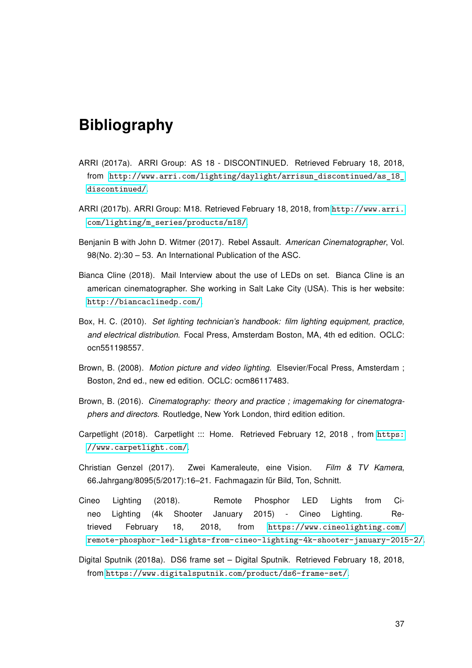# Bibliography

- <span id="page-42-2"></span>ARRI (2017a). ARRI Group: AS 18 - DISCONTINUED. Retrieved February 18, 2018, from [http://www.arri.com/lighting/daylight/arrisun\\_discontinued/as\\_18\\_](http://www.arri.com/lighting/daylight/arrisun_discontinued/as_18_discontinued/) [discontinued/](http://www.arri.com/lighting/daylight/arrisun_discontinued/as_18_discontinued/).
- <span id="page-42-3"></span>ARRI (2017b). ARRI Group: M18. Retrieved February 18, 2018, from [http://www.arri.](http://www.arri.com/lighting/m_series/products/m18/) [com/lighting/m\\_series/products/m18/](http://www.arri.com/lighting/m_series/products/m18/).
- <span id="page-42-7"></span>Benjanin B with John D. Witmer (2017). Rebel Assault. American Cinematographer, Vol. 98(No. 2):30 – 53. An International Publication of the ASC.
- <span id="page-42-10"></span>Bianca Cline (2018). Mail Interview about the use of LEDs on set. Bianca Cline is an american cinematographer. She working in Salt Lake City (USA). This is her website: <http://biancaclinedp.com/>.
- <span id="page-42-4"></span>Box, H. C. (2010). Set lighting technician's handbook: film lighting equipment, practice, and electrical distribution. Focal Press, Amsterdam Boston, MA, 4th ed edition. OCLC: ocn551198557.
- <span id="page-42-0"></span>Brown, B. (2008). Motion picture and video lighting. Elsevier/Focal Press, Amsterdam ; Boston, 2nd ed., new ed edition. OCLC: ocm86117483.
- <span id="page-42-1"></span>Brown, B. (2016). Cinematography: theory and practice ; imagemaking for cinematographers and directors. Routledge, New York London, third edition edition.
- <span id="page-42-9"></span>Carpetlight (2018). Carpetlight ::: Home. Retrieved February 12, 2018 , from [https:](https://www.carpetlight.com/) [//www.carpetlight.com/](https://www.carpetlight.com/).
- <span id="page-42-5"></span>Christian Genzel (2017). Zwei Kameraleute, eine Vision. Film & TV Kamera, 66.Jahrgang/8095(5/2017):16–21. Fachmagazin für Bild, Ton, Schnitt.
- <span id="page-42-6"></span>Cineo Lighting (2018). Remote Phosphor LED Lights from Cineo Lighting (4k Shooter January 2015) - Cineo Lighting. Retrieved February 18, 2018, from [https://www.cineolighting.com/](https://www.cineolighting.com/remote-phosphor-led-lights-from-cineo-lighting-4k-shooter-january-2015-2/) [remote-phosphor-led-lights-from-cineo-lighting-4k-shooter-january-2015-2/](https://www.cineolighting.com/remote-phosphor-led-lights-from-cineo-lighting-4k-shooter-january-2015-2/).
- <span id="page-42-8"></span>Digital Sputnik (2018a). DS6 frame set – Digital Sputnik. Retrieved February 18, 2018, from <https://www.digitalsputnik.com/product/ds6-frame-set/>.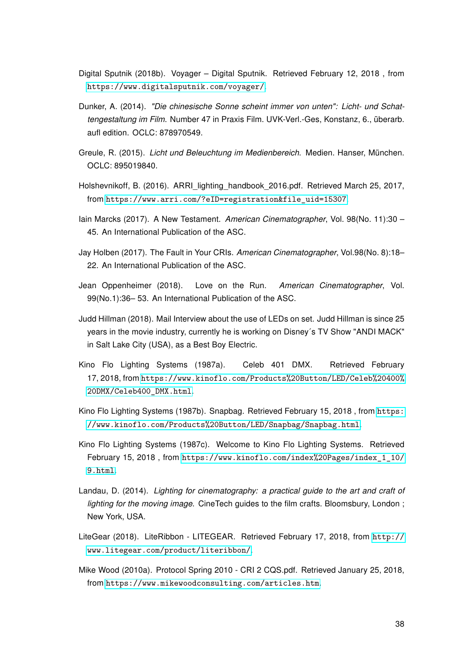- <span id="page-43-12"></span>Digital Sputnik (2018b). Voyager – Digital Sputnik. Retrieved February 12, 2018 , from <https://www.digitalsputnik.com/voyager/>.
- <span id="page-43-1"></span>Dunker, A. (2014). "Die chinesische Sonne scheint immer von unten": Licht- und Schattengestaltung im Film. Number 47 in Praxis Film. UVK-Verl.-Ges, Konstanz, 6., überarb. aufl edition. OCLC: 878970549.
- <span id="page-43-5"></span>Greule, R. (2015). Licht und Beleuchtung im Medienbereich. Medien. Hanser, München. OCLC: 895019840.
- <span id="page-43-2"></span>Holshevnikoff, B. (2016). ARRI lighting handbook 2016.pdf. Retrieved March 25, 2017, from [https://www.arri.com/?eID=registration&file\\_uid=15307](https://www.arri.com/?eID=registration&file_uid=15307).
- <span id="page-43-6"></span>Iain Marcks (2017). A New Testament. American Cinematographer, Vol. 98(No. 11):30 – 45. An International Publication of the ASC.
- <span id="page-43-7"></span>Jay Holben (2017). The Fault in Your CRIs. American Cinematographer, Vol.98(No. 8):18– 22. An International Publication of the ASC.
- <span id="page-43-9"></span>Jean Oppenheimer (2018). Love on the Run. American Cinematographer, Vol. 99(No.1):36– 53. An International Publication of the ASC.
- <span id="page-43-13"></span>Judd Hillman (2018). Mail Interview about the use of LEDs on set. Judd Hillman is since 25 years in the movie industry, currently he is working on Disney´s TV Show "ANDI MACK" in Salt Lake City (USA), as a Best Boy Electric.
- <span id="page-43-11"></span>Kino Flo Lighting Systems (1987a). Celeb 401 DMX. Retrieved February 17, 2018, from [https://www.kinoflo.com/Products%20Button/LED/Celeb%20400%](https://www.kinoflo.com/Products%20Button/LED/Celeb%20400%20DMX/Celeb400_DMX.html) [20DMX/Celeb400\\_DMX.html](https://www.kinoflo.com/Products%20Button/LED/Celeb%20400%20DMX/Celeb400_DMX.html).
- <span id="page-43-4"></span>Kino Flo Lighting Systems (1987b). Snapbag. Retrieved February 15, 2018 , from [https:](https://www.kinoflo.com/Products%20Button/LED/Snapbag/Snapbag.html) [//www.kinoflo.com/Products%20Button/LED/Snapbag/Snapbag.html](https://www.kinoflo.com/Products%20Button/LED/Snapbag/Snapbag.html).
- <span id="page-43-3"></span>Kino Flo Lighting Systems (1987c). Welcome to Kino Flo Lighting Systems. Retrieved February 15, 2018 , from [https://www.kinoflo.com/index%20Pages/index\\_1\\_10/](https://www.kinoflo.com/index%20Pages/index_1_10/9.html) [9.html](https://www.kinoflo.com/index%20Pages/index_1_10/9.html).
- <span id="page-43-0"></span>Landau, D. (2014). Lighting for cinematography: a practical guide to the art and craft of lighting for the moving image. CineTech guides to the film crafts. Bloomsbury, London; New York, USA.
- <span id="page-43-10"></span>LiteGear (2018). LiteRibbon - LITEGEAR. Retrieved February 17, 2018, from [http://](http://www.litegear.com/product/literibbon/) [www.litegear.com/product/literibbon/](http://www.litegear.com/product/literibbon/).
- <span id="page-43-8"></span>Mike Wood (2010a). Protocol Spring 2010 - CRI 2 CQS.pdf. Retrieved January 25, 2018, from <https://www.mikewoodconsulting.com/articles.htm>.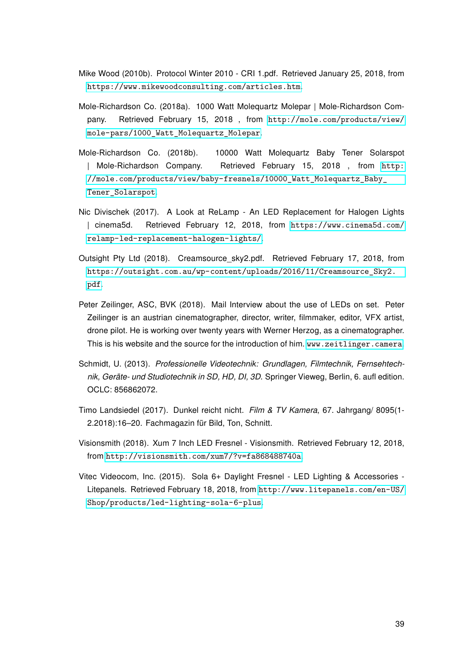- <span id="page-44-3"></span>Mike Wood (2010b). Protocol Winter 2010 - CRI 1.pdf. Retrieved January 25, 2018, from <https://www.mikewoodconsulting.com/articles.htm>.
- <span id="page-44-2"></span>Mole-Richardson Co. (2018a). 1000 Watt Molequartz Molepar | Mole-Richardson Company. Retrieved February 15, 2018 , from [http://mole.com/products/view/](http://mole.com/products/view/mole-pars/1000_Watt_Molequartz_Molepar) [mole-pars/1000\\_Watt\\_Molequartz\\_Molepar](http://mole.com/products/view/mole-pars/1000_Watt_Molequartz_Molepar).
- <span id="page-44-1"></span>Mole-Richardson Co. (2018b). 10000 Watt Molequartz Baby Tener Solarspot | Mole-Richardson Company. Retrieved February 15, 2018 , from [http:](http://mole.com/products/view/baby-fresnels/10000_Watt_Molequartz_Baby_Tener_Solarspot) //mole.com/products/view/baby-fresnels/10000 Watt Molequartz Baby Tener Solarspot.
- <span id="page-44-6"></span>Nic Divischek (2017). A Look at ReLamp - An LED Replacement for Halogen Lights | cinema5d. Retrieved February 12, 2018, from [https://www.cinema5d.com/](https://www.cinema5d.com/relamp-led-replacement-halogen-lights/) [relamp-led-replacement-halogen-lights/](https://www.cinema5d.com/relamp-led-replacement-halogen-lights/).
- <span id="page-44-5"></span>Outsight Pty Ltd (2018). Creamsource\_sky2.pdf. Retrieved February 17, 2018, from [https://outsight.com.au/wp-content/uploads/2016/11/Creamsource\\_Sky2.](https://outsight.com.au/wp-content/uploads/2016/11/Creamsource_Sky2.pdf) [pdf](https://outsight.com.au/wp-content/uploads/2016/11/Creamsource_Sky2.pdf).
- <span id="page-44-8"></span>Peter Zeilinger, ASC, BVK (2018). Mail Interview about the use of LEDs on set. Peter Zeilinger is an austrian cinematographer, director, writer, filmmaker, editor, VFX artist, drone pilot. He is working over twenty years with Werner Herzog, as a cinematographer. This is his website and the source for the introduction of him. <www.zeitlinger.camera>.
- <span id="page-44-0"></span>Schmidt, U. (2013). Professionelle Videotechnik: Grundlagen, Filmtechnik, Fernsehtechnik, Geräte- und Studiotechnik in SD, HD, DI, 3D. Springer Vieweg, Berlin, 6. aufl edition. OCLC: 856862072.
- <span id="page-44-9"></span>Timo Landsiedel (2017). Dunkel reicht nicht. Film & TV Kamera, 67. Jahrgang/ 8095(1- 2.2018):16–20. Fachmagazin für Bild, Ton, Schnitt.
- <span id="page-44-7"></span>Visionsmith (2018). Xum 7 Inch LED Fresnel - Visionsmith. Retrieved February 12, 2018, from <http://visionsmith.com/xum7/?v=fa868488740a>.
- <span id="page-44-4"></span>Vitec Videocom, Inc. (2015). Sola 6+ Daylight Fresnel - LED Lighting & Accessories - Litepanels. Retrieved February 18, 2018, from [http://www.litepanels.com/en-US/](http://www.litepanels.com/en-US/Shop/products/led-lighting-sola-6-plus) [Shop/products/led-lighting-sola-6-plus](http://www.litepanels.com/en-US/Shop/products/led-lighting-sola-6-plus).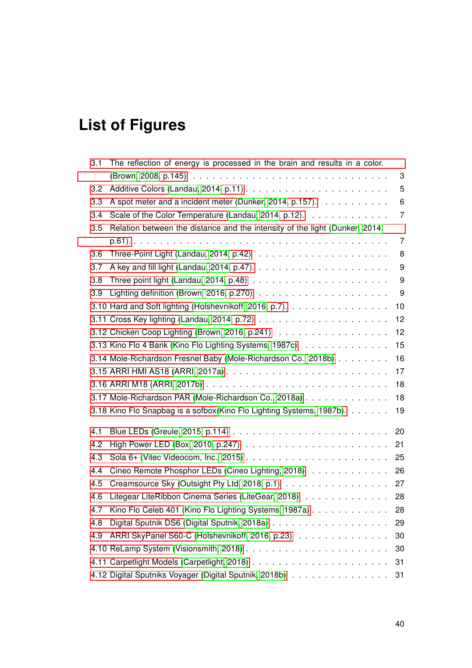# List of Figures

| 3.1 | The reflection of energy is processed in the brain and results in a color.                  |                  |
|-----|---------------------------------------------------------------------------------------------|------------------|
|     |                                                                                             | 3                |
| 3.2 |                                                                                             | 5                |
| 3.3 | A spot meter and a incident meter (Dunker, 2014, p.157).                                    | 6                |
| 3.4 | Scale of the Color Temperature (Landau, 2014, p.12).                                        | $\overline{7}$   |
| 3.5 | Relation between the distance and the intensity of the light (Dunker, 2014,                 |                  |
|     |                                                                                             | 7                |
| 3.6 |                                                                                             | 8                |
| 3.7 |                                                                                             | 9                |
| 3.8 | Three point light (Landau, 2014, p.48) $\ldots \ldots \ldots \ldots \ldots \ldots \ldots$   | $\boldsymbol{9}$ |
| 3.9 | Lighting definition (Brown, 2016, p.270) $\ldots \ldots \ldots \ldots \ldots \ldots \ldots$ | 9                |
|     | 3.10 Hard and Soft lighting (Holshevnikoff, 2016, p.7).                                     | 10               |
|     |                                                                                             | 12               |
|     | 3.12 Chicken Coop Lighting (Brown, 2016, p.241)                                             | 12               |
|     | 3.13 Kino Flo 4 Bank (Kino Flo Lighting Systems, 1987c)                                     | 15               |
|     | 3.14 Mole-Richardson Fresnel Baby (Mole-Richardson Co., 2018b)                              | 16               |
|     |                                                                                             | 17               |
|     |                                                                                             | 18               |
|     | 3.17 Mole-Richardson PAR (Mole-Richardson Co., 2018a)                                       | 18               |
|     | 3.18 Kino Flo Snapbag is a sofbox(Kino Flo Lighting Systems, 1987b).                        | 19               |
| 4.1 |                                                                                             | 20               |
| 4.2 |                                                                                             | 21               |
| 4.3 |                                                                                             | 25               |
| 4.4 | Cineo Remote Phosphor LEDs (Cineo Lighting, 2018)                                           | 26               |
| 4.5 | Creamsource Sky (Outsight Pty Ltd, 2018, p.1)                                               | 27               |
| 4.6 | Litegear LiteRibbon Cinema Series (LiteGear, 2018)                                          | 28               |
| 4.7 | Kino Flo Celeb 401 (Kino Flo Lighting Systems, 1987a)                                       | 28               |
| 4.8 |                                                                                             | 29               |
| 4.9 | ARRI SkyPanel S60-C (Holshevnikoff, 2016, p.23)                                             | 30               |
|     |                                                                                             | 30               |
|     |                                                                                             | 31               |
|     | 4.12 Digital Sputniks Voyager (Digital Sputnik, 2018b)                                      | 31               |
|     |                                                                                             |                  |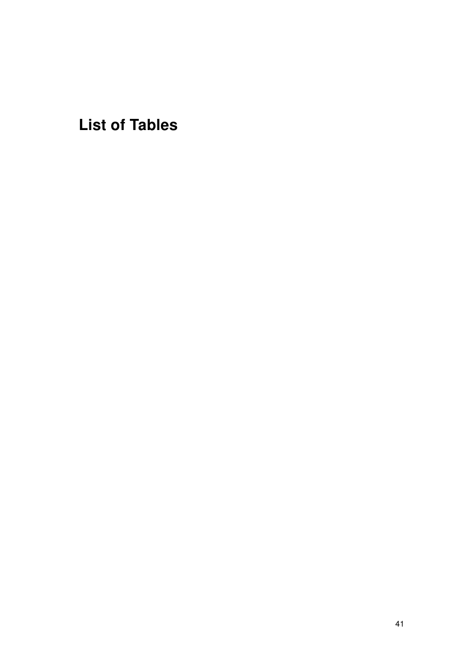List of Tables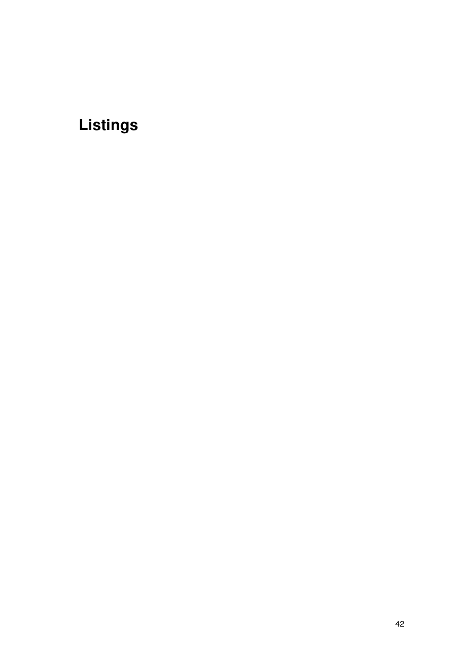# Listings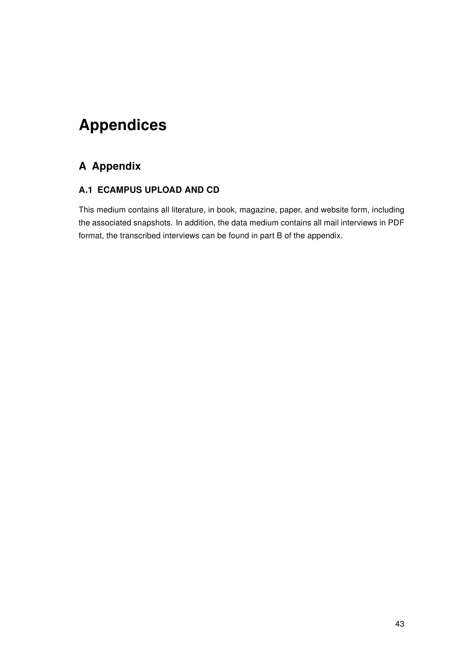# <span id="page-48-0"></span>Appendices

# <span id="page-48-1"></span>A Appendix

# <span id="page-48-2"></span>A.1 ECAMPUS UPLOAD AND CD

This medium contains all literature, in book, magazine, paper, and website form, including the associated snapshots. In addition, the data medium contains all mail interviews in PDF format, the transcribed interviews can be found in part B of the appendix.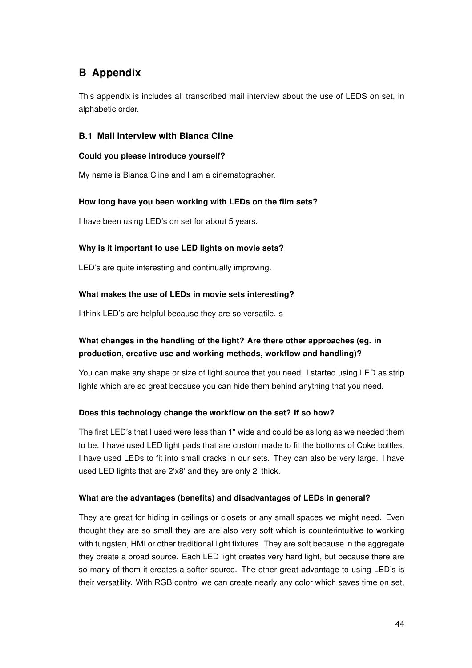# <span id="page-49-0"></span>B Appendix

This appendix is includes all transcribed mail interview about the use of LEDS on set, in alphabetic order.

### <span id="page-49-1"></span>B.1 Mail Interview with Bianca Cline

#### Could you please introduce yourself?

My name is Bianca Cline and I am a cinematographer.

#### How long have you been working with LEDs on the film sets?

I have been using LED's on set for about 5 years.

#### Why is it important to use LED lights on movie sets?

LED's are quite interesting and continually improving.

#### What makes the use of LEDs in movie sets interesting?

I think LED's are helpful because they are so versatile. s

# What changes in the handling of the light? Are there other approaches (eg. in production, creative use and working methods, workflow and handling)?

You can make any shape or size of light source that you need. I started using LED as strip lights which are so great because you can hide them behind anything that you need.

#### Does this technology change the workflow on the set? If so how?

The first LED's that I used were less than 1" wide and could be as long as we needed them to be. I have used LED light pads that are custom made to fit the bottoms of Coke bottles. I have used LEDs to fit into small cracks in our sets. They can also be very large. I have used LED lights that are 2'x8' and they are only 2' thick.

#### What are the advantages (benefits) and disadvantages of LEDs in general?

They are great for hiding in ceilings or closets or any small spaces we might need. Even thought they are so small they are are also very soft which is counterintuitive to working with tungsten, HMI or other traditional light fixtures. They are soft because in the aggregate they create a broad source. Each LED light creates very hard light, but because there are so many of them it creates a softer source. The other great advantage to using LED's is their versatility. With RGB control we can create nearly any color which saves time on set,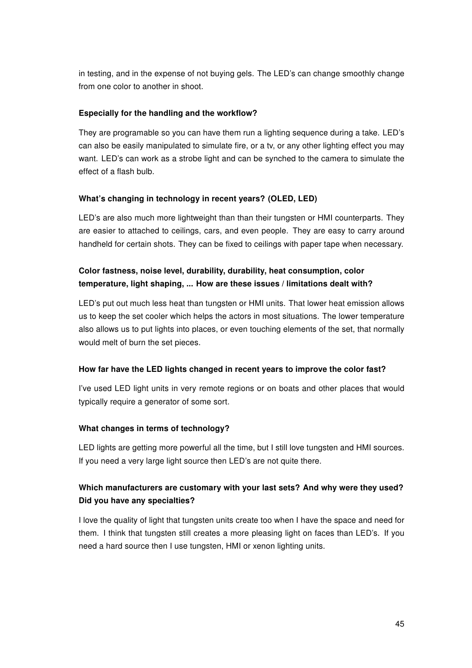in testing, and in the expense of not buying gels. The LED's can change smoothly change from one color to another in shoot.

#### Especially for the handling and the workflow?

They are programable so you can have them run a lighting sequence during a take. LED's can also be easily manipulated to simulate fire, or a tv, or any other lighting effect you may want. LED's can work as a strobe light and can be synched to the camera to simulate the effect of a flash bulb.

### What's changing in technology in recent years? (OLED, LED)

LED's are also much more lightweight than than their tungsten or HMI counterparts. They are easier to attached to ceilings, cars, and even people. They are easy to carry around handheld for certain shots. They can be fixed to ceilings with paper tape when necessary.

# Color fastness, noise level, durability, durability, heat consumption, color temperature, light shaping, ... How are these issues / limitations dealt with?

LED's put out much less heat than tungsten or HMI units. That lower heat emission allows us to keep the set cooler which helps the actors in most situations. The lower temperature also allows us to put lights into places, or even touching elements of the set, that normally would melt of burn the set pieces.

#### How far have the LED lights changed in recent years to improve the color fast?

I've used LED light units in very remote regions or on boats and other places that would typically require a generator of some sort.

#### What changes in terms of technology?

LED lights are getting more powerful all the time, but I still love tungsten and HMI sources. If you need a very large light source then LED's are not quite there.

# Which manufacturers are customary with your last sets? And why were they used? Did you have any specialties?

I love the quality of light that tungsten units create too when I have the space and need for them. I think that tungsten still creates a more pleasing light on faces than LED's. If you need a hard source then I use tungsten, HMI or xenon lighting units.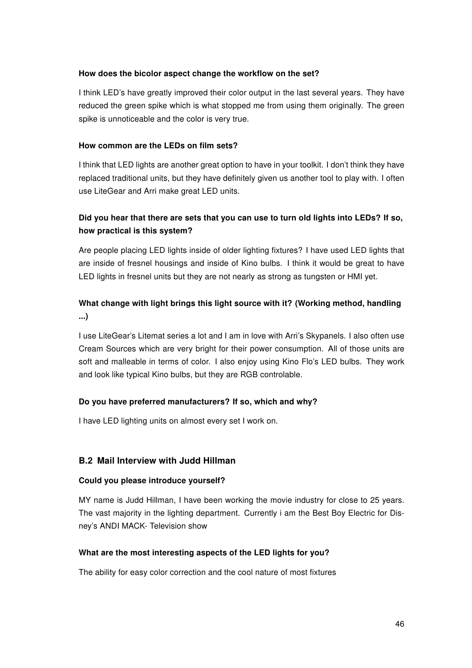#### How does the bicolor aspect change the workflow on the set?

I think LED's have greatly improved their color output in the last several years. They have reduced the green spike which is what stopped me from using them originally. The green spike is unnoticeable and the color is very true.

#### How common are the LEDs on film sets?

I think that LED lights are another great option to have in your toolkit. I don't think they have replaced traditional units, but they have definitely given us another tool to play with. I often use LiteGear and Arri make great LED units.

# Did you hear that there are sets that you can use to turn old lights into LEDs? If so, how practical is this system?

Are people placing LED lights inside of older lighting fixtures? I have used LED lights that are inside of fresnel housings and inside of Kino bulbs. I think it would be great to have LED lights in fresnel units but they are not nearly as strong as tungsten or HMI yet.

# What change with light brings this light source with it? (Working method, handling ...)

I use LiteGear's Litemat series a lot and I am in love with Arri's Skypanels. I also often use Cream Sources which are very bright for their power consumption. All of those units are soft and malleable in terms of color. I also enjoy using Kino Flo's LED bulbs. They work and look like typical Kino bulbs, but they are RGB controlable.

#### Do you have preferred manufacturers? If so, which and why?

I have LED lighting units on almost every set I work on.

#### <span id="page-51-0"></span>B.2 Mail Interview with Judd Hillman

#### Could you please introduce yourself?

MY name is Judd Hillman, I have been working the movie industry for close to 25 years. The vast majority in the lighting department. Currently i am the Best Boy Electric for Disney's ANDI MACK- Television show

#### What are the most interesting aspects of the LED lights for you?

The ability for easy color correction and the cool nature of most fixtures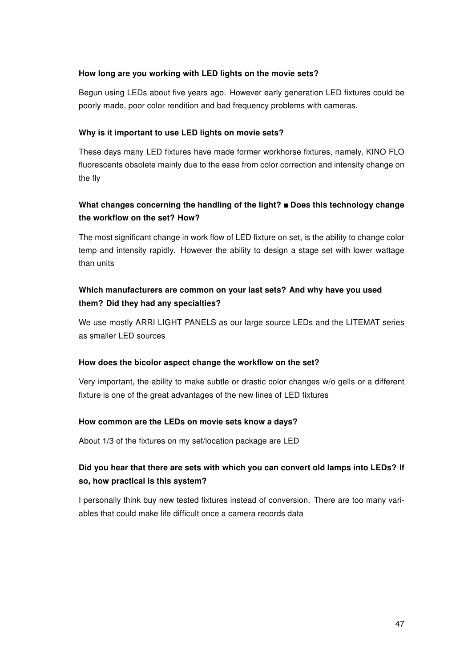#### How long are you working with LED lights on the movie sets?

Begun using LEDs about five years ago. However early generation LED fixtures could be poorly made, poor color rendition and bad frequency problems with cameras.

#### Why is it important to use LED lights on movie sets?

These days many LED fixtures have made former workhorse fixtures, namely, KINO FLO fluorescents obsolete mainly due to the ease from color correction and intensity change on the fly

# What changes concerning the handling of the light?  $\blacksquare$  Does this technology change the workflow on the set? How?

The most significant change in work flow of LED fixture on set, is the ability to change color temp and intensity rapidly. However the ability to design a stage set with lower wattage than units

# Which manufacturers are common on your last sets? And why have you used them? Did they had any specialties?

We use mostly ARRI LIGHT PANELS as our large source LEDs and the LITEMAT series as smaller LED sources

#### How does the bicolor aspect change the workflow on the set?

Very important, the ability to make subtle or drastic color changes w/o gells or a different fixture is one of the great advantages of the new lines of LED fixtures

#### How common are the LEDs on movie sets know a days?

About 1/3 of the fixtures on my set/location package are LED

# Did you hear that there are sets with which you can convert old lamps into LEDs? If so, how practical is this system?

I personally think buy new tested fixtures instead of conversion. There are too many variables that could make life difficult once a camera records data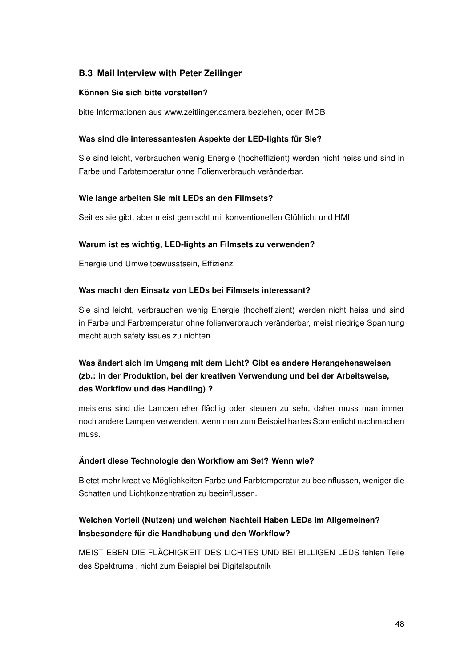### <span id="page-53-0"></span>B.3 Mail Interview with Peter Zeilinger

#### Können Sie sich bitte vorstellen?

bitte Informationen aus www.zeitlinger.camera beziehen, oder IMDB

#### Was sind die interessantesten Aspekte der LED-lights für Sie?

Sie sind leicht, verbrauchen wenig Energie (hocheffizient) werden nicht heiss und sind in Farbe und Farbtemperatur ohne Folienverbrauch veränderbar.

#### Wie lange arbeiten Sie mit LEDs an den Filmsets?

Seit es sie gibt, aber meist gemischt mit konventionellen Glühlicht und HMI

#### Warum ist es wichtig, LED-lights an Filmsets zu verwenden?

Energie und Umweltbewusstsein, Effizienz

#### Was macht den Einsatz von LEDs bei Filmsets interessant?

Sie sind leicht, verbrauchen wenig Energie (hocheffizient) werden nicht heiss und sind in Farbe und Farbtemperatur ohne folienverbrauch veränderbar, meist niedrige Spannung macht auch safety issues zu nichten

# Was ändert sich im Umgang mit dem Licht? Gibt es andere Herangehensweisen (zb.: in der Produktion, bei der kreativen Verwendung und bei der Arbeitsweise, des Workflow und des Handling) ?

meistens sind die Lampen eher flächig oder steuren zu sehr, daher muss man immer noch andere Lampen verwenden, wenn man zum Beispiel hartes Sonnenlicht nachmachen muss.

#### Ändert diese Technologie den Workflow am Set? Wenn wie?

Bietet mehr kreative Möglichkeiten Farbe und Farbtemperatur zu beeinflussen, weniger die Schatten und Lichtkonzentration zu beeinflussen.

# Welchen Vorteil (Nutzen) und welchen Nachteil Haben LEDs im Allgemeinen? Insbesondere für die Handhabung und den Workflow?

MEIST EBEN DIE FLÄCHIGKEIT DES LICHTES UND BEI BILLIGEN LEDS fehlen Teile des Spektrums , nicht zum Beispiel bei Digitalsputnik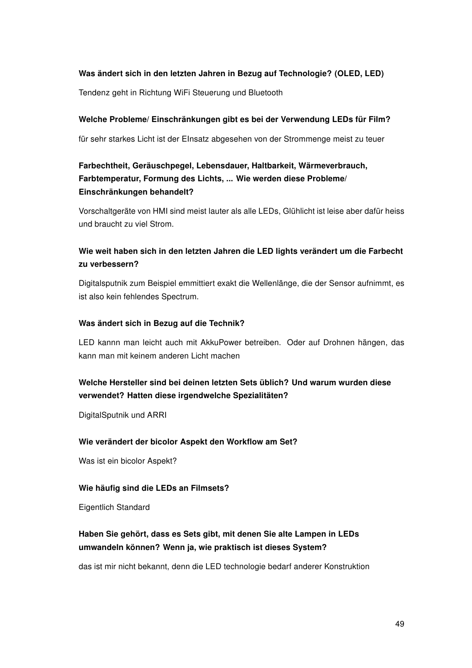#### Was ändert sich in den letzten Jahren in Bezug auf Technologie? (OLED, LED)

Tendenz geht in Richtung WiFi Steuerung und Bluetooth

#### Welche Probleme/ Einschränkungen gibt es bei der Verwendung LEDs für Film?

für sehr starkes Licht ist der EInsatz abgesehen von der Strommenge meist zu teuer

# Farbechtheit, Geräuschpegel, Lebensdauer, Haltbarkeit, Wärmeverbrauch, Farbtemperatur, Formung des Lichts, ... Wie werden diese Probleme/ Einschränkungen behandelt?

Vorschaltgeräte von HMI sind meist lauter als alle LEDs, Glühlicht ist leise aber dafür heiss und braucht zu viel Strom.

# Wie weit haben sich in den letzten Jahren die LED lights verändert um die Farbecht zu verbessern?

Digitalsputnik zum Beispiel emmittiert exakt die Wellenlänge, die der Sensor aufnimmt, es ist also kein fehlendes Spectrum.

#### Was ändert sich in Bezug auf die Technik?

LED kannn man leicht auch mit AkkuPower betreiben. Oder auf Drohnen hängen, das kann man mit keinem anderen Licht machen

# Welche Hersteller sind bei deinen letzten Sets üblich? Und warum wurden diese verwendet? Hatten diese irgendwelche Spezialitäten?

DigitalSputnik und ARRI

#### Wie verändert der bicolor Aspekt den Workflow am Set?

Was ist ein bicolor Aspekt?

#### Wie häufig sind die LEDs an Filmsets?

Eigentlich Standard

# Haben Sie gehört, dass es Sets gibt, mit denen Sie alte Lampen in LEDs umwandeln können? Wenn ja, wie praktisch ist dieses System?

das ist mir nicht bekannt, denn die LED technologie bedarf anderer Konstruktion